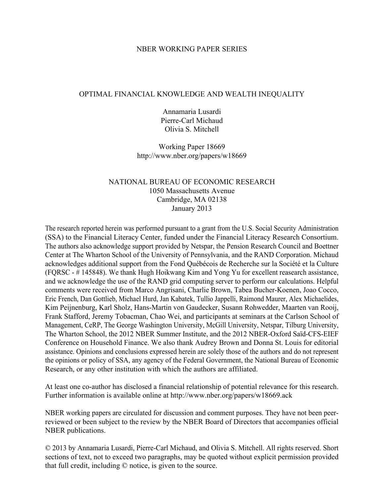### NBER WORKING PAPER SERIES

### OPTIMAL FINANCIAL KNOWLEDGE AND WEALTH INEQUALITY

Annamaria Lusardi Pierre-Carl Michaud Olivia S. Mitchell

Working Paper 18669 http://www.nber.org/papers/w18669

# NATIONAL BUREAU OF ECONOMIC RESEARCH 1050 Massachusetts Avenue Cambridge, MA 02138 January 2013

The research reported herein was performed pursuant to a grant from the U.S. Social Security Administration (SSA) to the Financial Literacy Center, funded under the Financial Literacy Research Consortium. The authors also acknowledge support provided by Netspar, the Pension Research Council and Boettner Center at The Wharton School of the University of Pennsylvania, and the RAND Corporation. Michaud acknowledges additional support from the Fond Québécois de Recherche sur la Société et la Culture (FQRSC - # 145848). We thank Hugh Hoikwang Kim and Yong Yu for excellent reasearch assistance, and we acknowledge the use of the RAND grid computing server to perform our calculations. Helpful comments were received from Marco Angrisani, Charlie Brown, Tabea Bucher-Koenen, Joao Cocco, Eric French, Dan Gottlieb, Michael Hurd, Jan Kabatek, Tullio Jappelli, Raimond Maurer, Alex Michaelides, Kim Peijnenburg, Karl Sholz, Hans-Martin von Gaudecker, Susann Rohwedder, Maarten van Rooij, Frank Stafford, Jeremy Tobacman, Chao Wei, and participants at seminars at the Carlson School of Management, CeRP, The George Washington University, McGill University, Netspar, Tilburg University, The Wharton School, the 2012 NBER Summer Institute, and the 2012 NBER-Oxford Saïd-CFS-EIEF Conference on Household Finance. We also thank Audrey Brown and Donna St. Louis for editorial assistance. Opinions and conclusions expressed herein are solely those of the authors and do not represent the opinions or policy of SSA, any agency of the Federal Government, the National Bureau of Economic Research, or any other institution with which the authors are affiliated.

At least one co-author has disclosed a financial relationship of potential relevance for this research. Further information is available online at http://www.nber.org/papers/w18669.ack

NBER working papers are circulated for discussion and comment purposes. They have not been peerreviewed or been subject to the review by the NBER Board of Directors that accompanies official NBER publications.

© 2013 by Annamaria Lusardi, Pierre-Carl Michaud, and Olivia S. Mitchell. All rights reserved. Short sections of text, not to exceed two paragraphs, may be quoted without explicit permission provided that full credit, including © notice, is given to the source.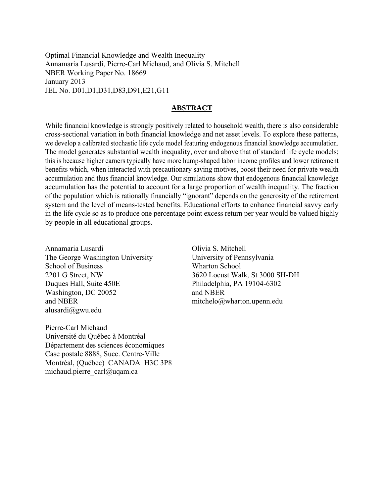Optimal Financial Knowledge and Wealth Inequality Annamaria Lusardi, Pierre-Carl Michaud, and Olivia S. Mitchell NBER Working Paper No. 18669 January 2013 JEL No. D01,D1,D31,D83,D91,E21,G11

### **ABSTRACT**

While financial knowledge is strongly positively related to household wealth, there is also considerable cross-sectional variation in both financial knowledge and net asset levels. To explore these patterns, we develop a calibrated stochastic life cycle model featuring endogenous financial knowledge accumulation. The model generates substantial wealth inequality, over and above that of standard life cycle models; this is because higher earners typically have more hump-shaped labor income profiles and lower retirement benefits which, when interacted with precautionary saving motives, boost their need for private wealth accumulation and thus financial knowledge. Our simulations show that endogenous financial knowledge accumulation has the potential to account for a large proportion of wealth inequality. The fraction of the population which is rationally financially "ignorant" depends on the generosity of the retirement system and the level of means-tested benefits. Educational efforts to enhance financial savvy early in the life cycle so as to produce one percentage point excess return per year would be valued highly by people in all educational groups.

Annamaria Lusardi The George Washington University School of Business 2201 G Street, NW Duques Hall, Suite 450E Washington, DC 20052 and NBER alusardi@gwu.edu

Pierre-Carl Michaud Université du Québec à Montréal Département des sciences économiques Case postale 8888, Succ. Centre-Ville Montréal, (Québec) CANADA H3C 3P8 michaud.pierre\_carl@uqam.ca

Olivia S. Mitchell University of Pennsylvania Wharton School 3620 Locust Walk, St 3000 SH-DH Philadelphia, PA 19104-6302 and NBER mitchelo@wharton.upenn.edu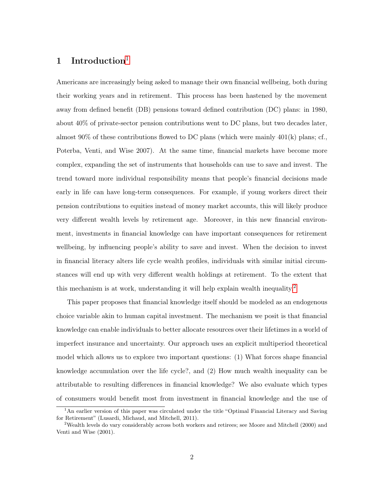# [1](#page-2-0) Introduction<sup>1</sup>

Americans are increasingly being asked to manage their own financial wellbeing, both during their working years and in retirement. This process has been hastened by the movement away from defined benefit (DB) pensions toward defined contribution (DC) plans: in 1980, about 40% of private-sector pension contributions went to DC plans, but two decades later, almost 90% of these contributions flowed to DC plans (which were mainly  $401(k)$  plans; cf., Poterba, Venti, and Wise 2007). At the same time, financial markets have become more complex, expanding the set of instruments that households can use to save and invest. The trend toward more individual responsibility means that people's financial decisions made early in life can have long-term consequences. For example, if young workers direct their pension contributions to equities instead of money market accounts, this will likely produce very different wealth levels by retirement age. Moreover, in this new financial environment, investments in financial knowledge can have important consequences for retirement wellbeing, by influencing people's ability to save and invest. When the decision to invest in financial literacy alters life cycle wealth profiles, individuals with similar initial circumstances will end up with very different wealth holdings at retirement. To the extent that this mechanism is at work, understanding it will help explain wealth inequality.<sup>[2](#page-2-1)</sup>

This paper proposes that financial knowledge itself should be modeled as an endogenous choice variable akin to human capital investment. The mechanism we posit is that financial knowledge can enable individuals to better allocate resources over their lifetimes in a world of imperfect insurance and uncertainty. Our approach uses an explicit multiperiod theoretical model which allows us to explore two important questions: (1) What forces shape financial knowledge accumulation over the life cycle?, and (2) How much wealth inequality can be attributable to resulting differences in financial knowledge? We also evaluate which types of consumers would benefit most from investment in financial knowledge and the use of

<span id="page-2-0"></span><sup>&</sup>lt;sup>1</sup>An earlier version of this paper was circulated under the title "Optimal Financial Literacy and Saving for Retirement" (Lusardi, Michaud, and Mitchell, 2011).

<span id="page-2-1"></span><sup>2</sup>Wealth levels do vary considerably across both workers and retirees; see Moore and Mitchell (2000) and Venti and Wise (2001).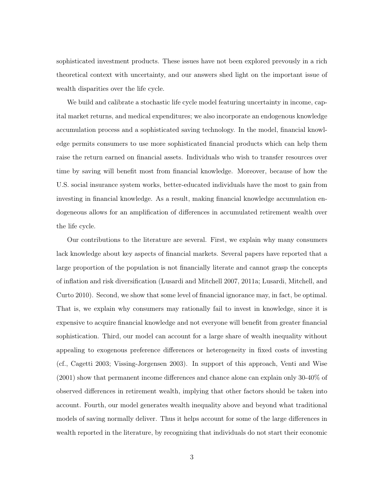sophisticated investment products. These issues have not been explored prevously in a rich theoretical context with uncertainty, and our answers shed light on the important issue of wealth disparities over the life cycle.

We build and calibrate a stochastic life cycle model featuring uncertainty in income, capital market returns, and medical expenditures; we also incorporate an endogenous knowledge accumulation process and a sophisticated saving technology. In the model, financial knowledge permits consumers to use more sophisticated financial products which can help them raise the return earned on financial assets. Individuals who wish to transfer resources over time by saving will benefit most from financial knowledge. Moreover, because of how the U.S. social insurance system works, better-educated individuals have the most to gain from investing in financial knowledge. As a result, making financial knowledge accumulation endogeneous allows for an amplification of differences in accumulated retirement wealth over the life cycle.

Our contributions to the literature are several. First, we explain why many consumers lack knowledge about key aspects of financial markets. Several papers have reported that a large proportion of the population is not financially literate and cannot grasp the concepts of inflation and risk diversification (Lusardi and Mitchell 2007, 2011a; Lusardi, Mitchell, and Curto 2010). Second, we show that some level of financial ignorance may, in fact, be optimal. That is, we explain why consumers may rationally fail to invest in knowledge, since it is expensive to acquire financial knowledge and not everyone will benefit from greater financial sophistication. Third, our model can account for a large share of wealth inequality without appealing to exogenous preference differences or heterogeneity in fixed costs of investing (cf., Cagetti 2003; Vissing-Jorgensen 2003). In support of this approach, Venti and Wise (2001) show that permanent income differences and chance alone can explain only 30-40% of observed differences in retirement wealth, implying that other factors should be taken into account. Fourth, our model generates wealth inequality above and beyond what traditional models of saving normally deliver. Thus it helps account for some of the large differences in wealth reported in the literature, by recognizing that individuals do not start their economic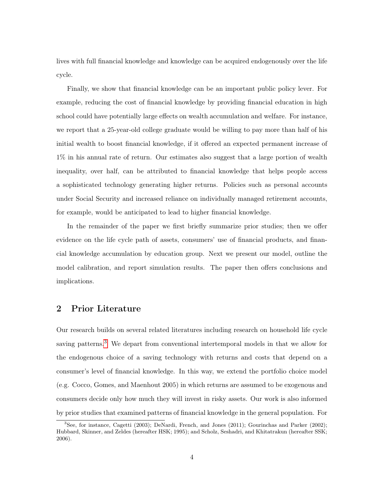lives with full financial knowledge and knowledge can be acquired endogenously over the life cycle.

Finally, we show that financial knowledge can be an important public policy lever. For example, reducing the cost of financial knowledge by providing financial education in high school could have potentially large effects on wealth accumulation and welfare. For instance, we report that a 25-year-old college graduate would be willing to pay more than half of his initial wealth to boost financial knowledge, if it offered an expected permanent increase of 1% in his annual rate of return. Our estimates also suggest that a large portion of wealth inequality, over half, can be attributed to financial knowledge that helps people access a sophisticated technology generating higher returns. Policies such as personal accounts under Social Security and increased reliance on individually managed retirement accounts, for example, would be anticipated to lead to higher financial knowledge.

In the remainder of the paper we first briefly summarize prior studies; then we offer evidence on the life cycle path of assets, consumers' use of financial products, and financial knowledge accumulation by education group. Next we present our model, outline the model calibration, and report simulation results. The paper then offers conclusions and implications.

# 2 Prior Literature

Our research builds on several related literatures including research on household life cycle saving patterns.<sup>[3](#page-4-0)</sup> We depart from conventional intertemporal models in that we allow for the endogenous choice of a saving technology with returns and costs that depend on a consumer's level of financial knowledge. In this way, we extend the portfolio choice model (e.g. Cocco, Gomes, and Maenhout 2005) in which returns are assumed to be exogenous and consumers decide only how much they will invest in risky assets. Our work is also informed by prior studies that examined patterns of financial knowledge in the general population. For

<span id="page-4-0"></span><sup>3</sup>See, for instance, Cagetti (2003); DeNardi, French, and Jones (2011); Gourinchas and Parker (2002); Hubbard, Skinner, and Zeldes (hereafter HSK; 1995); and Scholz, Seshadri, and Khitatrakun (hereafter SSK; 2006).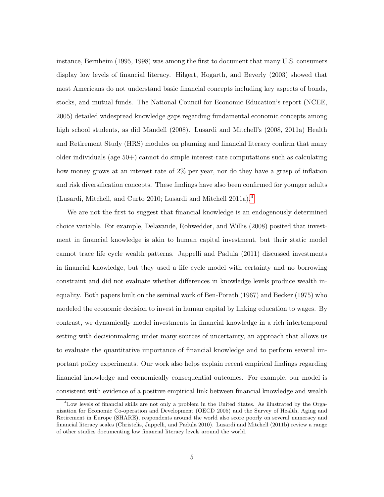instance, Bernheim (1995, 1998) was among the first to document that many U.S. consumers display low levels of financial literacy. Hilgert, Hogarth, and Beverly (2003) showed that most Americans do not understand basic financial concepts including key aspects of bonds, stocks, and mutual funds. The National Council for Economic Education's report (NCEE, 2005) detailed widespread knowledge gaps regarding fundamental economic concepts among high school students, as did Mandell (2008). Lusardi and Mitchell's (2008, 2011a) Health and Retirement Study (HRS) modules on planning and financial literacy confirm that many older individuals (age 50+) cannot do simple interest-rate computations such as calculating how money grows at an interest rate of 2% per year, nor do they have a grasp of inflation and risk diversification concepts. These findings have also been confirmed for younger adults (Lusardi, Mitchell, and Curto 2010; Lusardi and Mitchell 2011a).[4](#page-5-0)

We are not the first to suggest that financial knowledge is an endogenously determined choice variable. For example, Delavande, Rohwedder, and Willis (2008) posited that investment in financial knowledge is akin to human capital investment, but their static model cannot trace life cycle wealth patterns. Jappelli and Padula (2011) discussed investments in financial knowledge, but they used a life cycle model with certainty and no borrowing constraint and did not evaluate whether differences in knowledge levels produce wealth inequality. Both papers built on the seminal work of Ben-Porath (1967) and Becker (1975) who modeled the economic decision to invest in human capital by linking education to wages. By contrast, we dynamically model investments in financial knowledge in a rich intertemporal setting with decisionmaking under many sources of uncertainty, an approach that allows us to evaluate the quantitative importance of financial knowledge and to perform several important policy experiments. Our work also helps explain recent empirical findings regarding financial knowledge and economically consequential outcomes. For example, our model is consistent with evidence of a positive empirical link between financial knowledge and wealth

<span id="page-5-0"></span><sup>4</sup>Low levels of financial skills are not only a problem in the United States. As illustrated by the Organization for Economic Co-operation and Development (OECD 2005) and the Survey of Health, Aging and Retirement in Europe (SHARE), respondents around the world also score poorly on several numeracy and financial literacy scales (Christelis, Jappelli, and Padula 2010). Lusardi and Mitchell (2011b) review a range of other studies documenting low financial literacy levels around the world.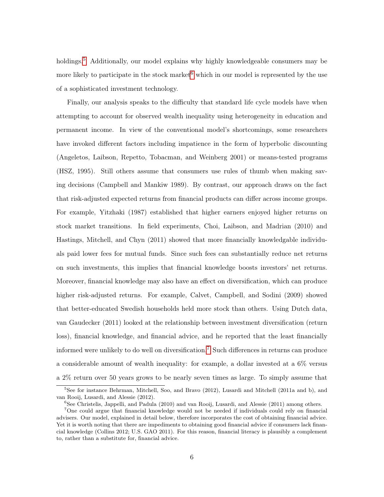holdings.<sup>[5](#page-6-0)</sup> Additionally, our model explains why highly knowledgeable consumers may be more likely to participate in the stock market  $6$  which in our model is represented by the use of a sophisticated investment technology.

Finally, our analysis speaks to the difficulty that standard life cycle models have when attempting to account for observed wealth inequality using heterogeneity in education and permanent income. In view of the conventional model's shortcomings, some researchers have invoked different factors including impatience in the form of hyperbolic discounting (Angeletos, Laibson, Repetto, Tobacman, and Weinberg 2001) or means-tested programs (HSZ, 1995). Still others assume that consumers use rules of thumb when making saving decisions (Campbell and Mankiw 1989). By contrast, our approach draws on the fact that risk-adjusted expected returns from financial products can differ across income groups. For example, Yitzhaki (1987) established that higher earners enjoyed higher returns on stock market transitions. In field experiments, Choi, Laibson, and Madrian (2010) and Hastings, Mitchell, and Chyn (2011) showed that more financially knowledgable individuals paid lower fees for mutual funds. Since such fees can substantially reduce net returns on such investments, this implies that financial knowledge boosts investors' net returns. Moreover, financial knowledge may also have an effect on diversification, which can produce higher risk-adjusted returns. For example, Calvet, Campbell, and Sodini (2009) showed that better-educated Swedish households held more stock than others. Using Dutch data, van Gaudecker (2011) looked at the relationship between investment diversification (return loss), financial knowledge, and financial advice, and he reported that the least financially informed were unlikely to do well on diversification.[7](#page-6-2) Such differences in returns can produce a considerable amount of wealth inequality: for example, a dollar invested at a 6% versus a 2% return over 50 years grows to be nearly seven times as large. To simply assume that

<span id="page-6-0"></span><sup>&</sup>lt;sup>5</sup>See for instance Behrman, Mitchell, Soo, and Bravo (2012), Lusardi and Mitchell (2011a and b), and van Rooij, Lusardi, and Alessie (2012).

<span id="page-6-2"></span><span id="page-6-1"></span> ${}^{6}$ See Christelis, Jappelli, and Padula (2010) and van Rooij, Lusardi, and Alessie (2011) among others.

<sup>7</sup>One could argue that financial knowledge would not be needed if individuals could rely on financial advisers. Our model, explained in detail below, therefore incorporates the cost of obtaining financial advice. Yet it is worth noting that there are impediments to obtaining good financial advice if consumers lack financial knowledge (Collins 2012; U.S. GAO 2011). For this reason, financial literacy is plausibly a complement to, rather than a substitute for, financial advice.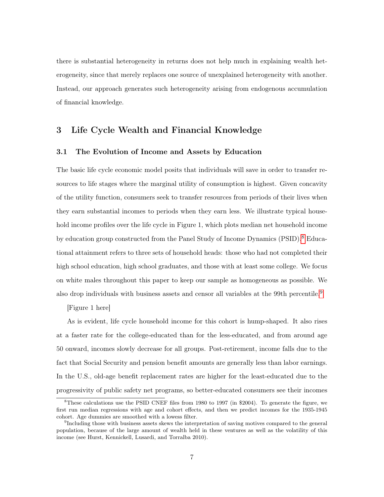there is substantial heterogeneity in returns does not help much in explaining wealth heterogeneity, since that merely replaces one source of unexplained heterogeneity with another. Instead, our approach generates such heterogeneity arising from endogenous accumulation of financial knowledge.

# 3 Life Cycle Wealth and Financial Knowledge

### 3.1 The Evolution of Income and Assets by Education

The basic life cycle economic model posits that individuals will save in order to transfer resources to life stages where the marginal utility of consumption is highest. Given concavity of the utility function, consumers seek to transfer resources from periods of their lives when they earn substantial incomes to periods when they earn less. We illustrate typical household income profiles over the life cycle in Figure 1, which plots median net household income by education group constructed from the Panel Study of Income Dynamics (PSID).<sup>[8](#page-7-0)</sup> Educational attainment refers to three sets of household heads: those who had not completed their high school education, high school graduates, and those with at least some college. We focus on white males throughout this paper to keep our sample as homogeneous as possible. We also drop individuals with business assets and censor all variables at the [9](#page-7-1)9th percentile.<sup>9</sup>

[Figure 1 here]

As is evident, life cycle household income for this cohort is hump-shaped. It also rises at a faster rate for the college-educated than for the less-educated, and from around age 50 onward, incomes slowly decrease for all groups. Post-retirement, income falls due to the fact that Social Security and pension benefit amounts are generally less than labor earnings. In the U.S., old-age benefit replacement rates are higher for the least-educated due to the progressivity of public safety net programs, so better-educated consumers see their incomes

<span id="page-7-0"></span><sup>&</sup>lt;sup>8</sup>These calculations use the PSID CNEF files from 1980 to 1997 (in \$2004). To generate the figure, we first run median regressions with age and cohort effects, and then we predict incomes for the 1935-1945 cohort. Age dummies are smoothed with a lowess filter.

<span id="page-7-1"></span><sup>&</sup>lt;sup>9</sup>Including those with business assets skews the interpretation of saving motives compared to the general population, because of the large amount of wealth held in these ventures as well as the volatility of this income (see Hurst, Kennickell, Lusardi, and Torralba 2010).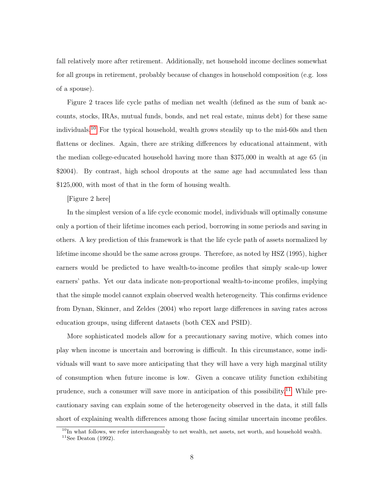fall relatively more after retirement. Additionally, net household income declines somewhat for all groups in retirement, probably because of changes in household composition (e.g. loss of a spouse).

Figure 2 traces life cycle paths of median net wealth (defined as the sum of bank accounts, stocks, IRAs, mutual funds, bonds, and net real estate, minus debt) for these same individuals.[10](#page-8-0) For the typical household, wealth grows steadily up to the mid-60s and then flattens or declines. Again, there are striking differences by educational attainment, with the median college-educated household having more than \$375,000 in wealth at age 65 (in \$2004). By contrast, high school dropouts at the same age had accumulated less than \$125,000, with most of that in the form of housing wealth.

[Figure 2 here]

In the simplest version of a life cycle economic model, individuals will optimally consume only a portion of their lifetime incomes each period, borrowing in some periods and saving in others. A key prediction of this framework is that the life cycle path of assets normalized by lifetime income should be the same across groups. Therefore, as noted by HSZ (1995), higher earners would be predicted to have wealth-to-income profiles that simply scale-up lower earners' paths. Yet our data indicate non-proportional wealth-to-income profiles, implying that the simple model cannot explain observed wealth heterogeneity. This confirms evidence from Dynan, Skinner, and Zeldes (2004) who report large differences in saving rates across education groups, using different datasets (both CEX and PSID).

More sophisticated models allow for a precautionary saving motive, which comes into play when income is uncertain and borrowing is difficult. In this circumstance, some individuals will want to save more anticipating that they will have a very high marginal utility of consumption when future income is low. Given a concave utility function exhibiting prudence, such a consumer will save more in anticipation of this possibility.<sup>[11](#page-8-1)</sup> While precautionary saving can explain some of the heterogeneity observed in the data, it still falls short of explaining wealth differences among those facing similar uncertain income profiles.

8

<span id="page-8-1"></span><span id="page-8-0"></span><sup>&</sup>lt;sup>10</sup>In what follows, we refer interchangeably to net wealth, net assets, net worth, and household wealth.  $^{11}$  See Deaton (1992).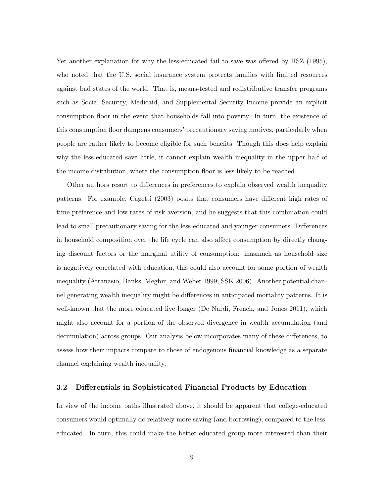Yet another explanation for why the less-educated fail to save was offered by HSZ (1995), who noted that the U.S. social insurance system protects families with limited resources against bad states of the world. That is, means-tested and redistributive transfer programs such as Social Security, Medicaid, and Supplemental Security Income provide an explicit consumption floor in the event that households fall into poverty. In turn, the existence of this consumption floor dampens consumers' precautionary saving motives, particularly when people are rather likely to become eligible for such benefits. Though this does help explain why the less-educated save little, it cannot explain wealth inequality in the upper half of the income distribution, where the consumption floor is less likely to be reached.

Other authors resort to differences in preferences to explain observed wealth inequality patterns. For example, Cagetti (2003) posits that consumers have different high rates of time preference and low rates of risk aversion, and he suggests that this combination could lead to small precautionary saving for the less-educated and younger consumers. Differences in household composition over the life cycle can also affect consumption by directly changing discount factors or the marginal utility of consumption: inasmuch as household size is negatively correlated with education, this could also account for some portion of wealth inequality (Attanasio, Banks, Meghir, and Weber 1999; SSK 2006). Another potential channel generating wealth inequality might be differences in anticipated mortality patterns. It is well-known that the more educated live longer (De Nardi, French, and Jones 2011), which might also account for a portion of the observed divergence in wealth accumulation (and decumulation) across groups. Our analysis below incorporates many of these differences, to assess how their impacts compare to those of endogenous financial knowledge as a separate channel explaining wealth inequality.

### 3.2 Differentials in Sophisticated Financial Products by Education

In view of the income paths illustrated above, it should be apparent that college-educated consumers would optimally do relatively more saving (and borrowing), compared to the lesseducated. In turn, this could make the better-educated group more interested than their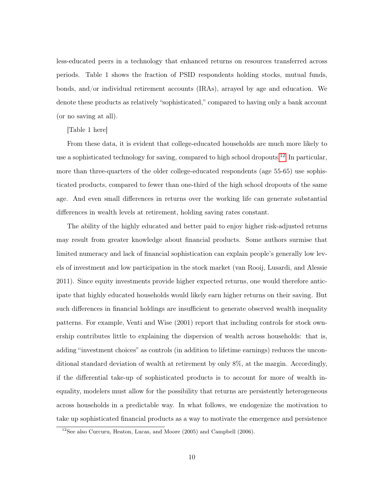less-educated peers in a technology that enhanced returns on resources transferred across periods. Table 1 shows the fraction of PSID respondents holding stocks, mutual funds, bonds, and/or individual retirement accounts (IRAs), arrayed by age and education. We denote these products as relatively "sophisticated," compared to having only a bank account (or no saving at all).

### [Table 1 here]

From these data, it is evident that college-educated households are much more likely to use a sophisticated technology for saving, compared to high school dropouts.[12](#page-10-0) In particular, more than three-quarters of the older college-educated respondents (age 55-65) use sophisticated products, compared to fewer than one-third of the high school dropouts of the same age. And even small differences in returns over the working life can generate substantial differences in wealth levels at retirement, holding saving rates constant.

The ability of the highly educated and better paid to enjoy higher risk-adjusted returns may result from greater knowledge about financial products. Some authors surmise that limited numeracy and lack of financial sophistication can explain people's generally low levels of investment and low participation in the stock market (van Rooij, Lusardi, and Alessie 2011). Since equity investments provide higher expected returns, one would therefore anticipate that highly educated households would likely earn higher returns on their saving. But such differences in financial holdings are insufficient to generate observed wealth inequality patterns. For example, Venti and Wise (2001) report that including controls for stock ownership contributes little to explaining the dispersion of wealth across households: that is, adding "investment choices" as controls (in addition to lifetime earnings) reduces the unconditional standard deviation of wealth at retirement by only 8%, at the margin. Accordingly, if the differential take-up of sophisticated products is to account for more of wealth inequality, modelers must allow for the possibility that returns are persistently heterogeneous across households in a predictable way. In what follows, we endogenize the motivation to take up sophisticated financial products as a way to motivate the emergence and persistence

<span id="page-10-0"></span><sup>12</sup>See also Curcuru, Heaton, Lucas, and Moore (2005) and Campbell (2006).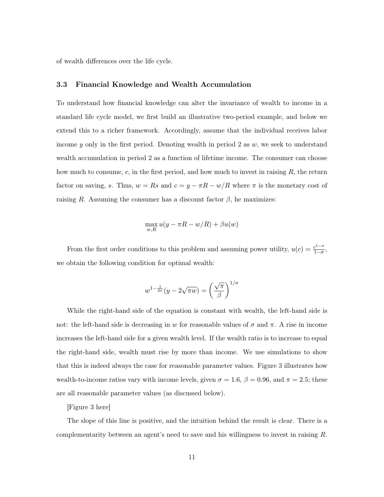of wealth differences over the life cycle.

### 3.3 Financial Knowledge and Wealth Accumulation

To understand how financial knowledge can alter the invariance of wealth to income in a standard life cycle model, we first build an illustrative two-period example, and below we extend this to a richer framework. Accordingly, assume that the individual receives labor income y only in the first period. Denoting wealth in period 2 as  $w$ , we seek to understand wealth accumulation in period 2 as a function of lifetime income. The consumer can choose how much to consume,  $c$ , in the first period, and how much to invest in raising  $R$ , the return factor on saving, s. Thus,  $w = Rs$  and  $c = y - \pi R - w/R$  where  $\pi$  is the monetary cost of raising R. Assuming the consumer has a discount factor  $\beta$ , he maximizes:

$$
\max_{w,R} u(y - \pi R - w/R) + \beta u(w)
$$

From the first order conditions to this problem and assuming power utility,  $u(c) = \frac{c^{1-\sigma}}{1-\sigma}$  $\frac{c^{1-\sigma}}{1-\sigma},$ we obtain the following condition for optimal wealth:

$$
w^{1-\frac{1}{2\sigma}}(y-2\sqrt{\pi w}) = \left(\frac{\sqrt{\pi}}{\beta}\right)^{1/\sigma}
$$

While the right-hand side of the equation is constant with wealth, the left-hand side is not: the left-hand side is decreasing in w for reasonable values of  $\sigma$  and  $\pi$ . A rise in income increases the left-hand side for a given wealth level. If the wealth ratio is to increase to equal the right-hand side, wealth must rise by more than income. We use simulations to show that this is indeed always the case for reasonable parameter values. Figure 3 illustrates how wealth-to-income ratios vary with income levels, given  $\sigma = 1.6$ ,  $\beta = 0.96$ , and  $\pi = 2.5$ ; these are all reasonable parameter values (as discussed below).

[Figure 3 here]

The slope of this line is positive, and the intuition behind the result is clear. There is a complementarity between an agent's need to save and his willingness to invest in raising R.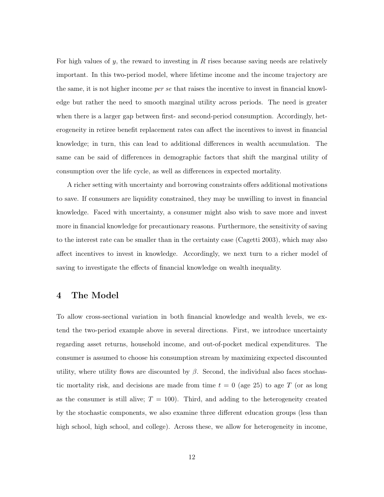For high values of  $y$ , the reward to investing in  $R$  rises because saving needs are relatively important. In this two-period model, where lifetime income and the income trajectory are the same, it is not higher income *per se* that raises the incentive to invest in financial knowledge but rather the need to smooth marginal utility across periods. The need is greater when there is a larger gap between first- and second-period consumption. Accordingly, heterogeneity in retiree benefit replacement rates can affect the incentives to invest in financial knowledge; in turn, this can lead to additional differences in wealth accumulation. The same can be said of differences in demographic factors that shift the marginal utility of consumption over the life cycle, as well as differences in expected mortality.

A richer setting with uncertainty and borrowing constraints offers additional motivations to save. If consumers are liquidity constrained, they may be unwilling to invest in financial knowledge. Faced with uncertainty, a consumer might also wish to save more and invest more in financial knowledge for precautionary reasons. Furthermore, the sensitivity of saving to the interest rate can be smaller than in the certainty case (Cagetti 2003), which may also affect incentives to invest in knowledge. Accordingly, we next turn to a richer model of saving to investigate the effects of financial knowledge on wealth inequality.

### 4 The Model

To allow cross-sectional variation in both financial knowledge and wealth levels, we extend the two-period example above in several directions. First, we introduce uncertainty regarding asset returns, household income, and out-of-pocket medical expenditures. The consumer is assumed to choose his consumption stream by maximizing expected discounted utility, where utility flows are discounted by  $\beta$ . Second, the individual also faces stochastic mortality risk, and decisions are made from time  $t = 0$  (age 25) to age T (or as long as the consumer is still alive;  $T = 100$ . Third, and adding to the heterogeneity created by the stochastic components, we also examine three different education groups (less than high school, high school, and college). Across these, we allow for heterogeneity in income,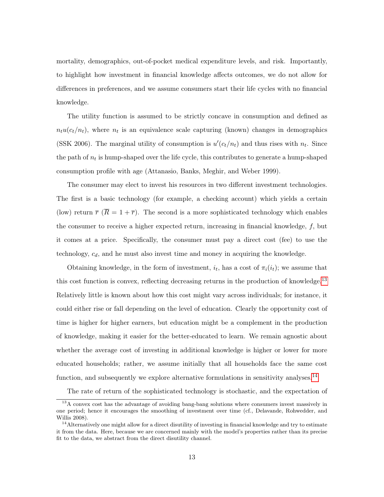mortality, demographics, out-of-pocket medical expenditure levels, and risk. Importantly, to highlight how investment in financial knowledge affects outcomes, we do not allow for differences in preferences, and we assume consumers start their life cycles with no financial knowledge.

The utility function is assumed to be strictly concave in consumption and defined as  $n_t u(c_t/n_t)$ , where  $n_t$  is an equivalence scale capturing (known) changes in demographics (SSK 2006). The marginal utility of consumption is  $u'(c_t/n_t)$  and thus rises with  $n_t$ . Since the path of  $n_t$  is hump-shaped over the life cycle, this contributes to generate a hump-shaped consumption profile with age (Attanasio, Banks, Meghir, and Weber 1999).

The consumer may elect to invest his resources in two different investment technologies. The first is a basic technology (for example, a checking account) which yields a certain (low) return  $\bar{r}$  ( $\bar{R} = 1 + \bar{r}$ ). The second is a more sophisticated technology which enables the consumer to receive a higher expected return, increasing in financial knowledge,  $f$ , but it comes at a price. Specifically, the consumer must pay a direct cost (fee) to use the technology,  $c_d$ , and he must also invest time and money in acquiring the knowledge.

Obtaining knowledge, in the form of investment,  $i_t$ , has a cost of  $\pi_i(i_t)$ ; we assume that this cost function is convex, reflecting decreasing returns in the production of knowledge.<sup>[13](#page-13-0)</sup> Relatively little is known about how this cost might vary across individuals; for instance, it could either rise or fall depending on the level of education. Clearly the opportunity cost of time is higher for higher earners, but education might be a complement in the production of knowledge, making it easier for the better-educated to learn. We remain agnostic about whether the average cost of investing in additional knowledge is higher or lower for more educated households; rather, we assume initially that all households face the same cost function, and subsequently we explore alternative formulations in sensitivity analyses.<sup>[14](#page-13-1)</sup>

<span id="page-13-0"></span>The rate of return of the sophisticated technology is stochastic, and the expectation of

<sup>&</sup>lt;sup>13</sup>A convex cost has the advantage of avoiding bang-bang solutions where consumers invest massively in one period; hence it encourages the smoothing of investment over time (cf., Delavande, Rohwedder, and Willis 2008).

<span id="page-13-1"></span><sup>&</sup>lt;sup>14</sup>Alternatively one might allow for a direct disutility of investing in financial knowledge and try to estimate it from the data. Here, because we are concerned mainly with the model's properties rather than its precise fit to the data, we abstract from the direct disutility channel.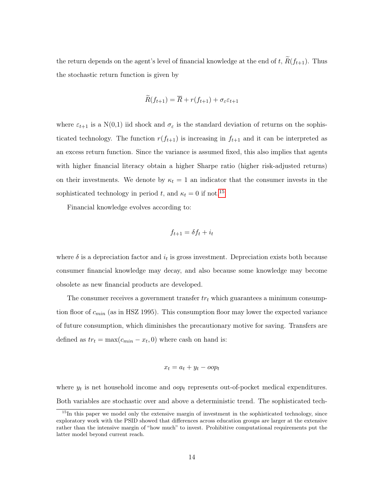the return depends on the agent's level of financial knowledge at the end of t,  $\tilde{R}(f_{t+1})$ . Thus the stochastic return function is given by

$$
\widetilde{R}(f_{t+1}) = \overline{R} + r(f_{t+1}) + \sigma_{\varepsilon} \varepsilon_{t+1}
$$

where  $\varepsilon_{t+1}$  is a N(0,1) iid shock and  $\sigma_{\varepsilon}$  is the standard deviation of returns on the sophisticated technology. The function  $r(f_{t+1})$  is increasing in  $f_{t+1}$  and it can be interpreted as an excess return function. Since the variance is assumed fixed, this also implies that agents with higher financial literacy obtain a higher Sharpe ratio (higher risk-adjusted returns) on their investments. We denote by  $\kappa_t = 1$  an indicator that the consumer invests in the sophisticated technology in period t, and  $\kappa_t = 0$  if not.<sup>[15](#page-14-0)</sup>

Financial knowledge evolves according to:

$$
f_{t+1} = \delta f_t + i_t
$$

where  $\delta$  is a depreciation factor and  $i_t$  is gross investment. Depreciation exists both because consumer financial knowledge may decay, and also because some knowledge may become obsolete as new financial products are developed.

The consumer receives a government transfer  $tr_t$  which guarantees a minimum consumption floor of  $c_{min}$  (as in HSZ 1995). This consumption floor may lower the expected variance of future consumption, which diminishes the precautionary motive for saving. Transfers are defined as  $tr_t = \max(c_{min} - x_t, 0)$  where cash on hand is:

$$
x_t = a_t + y_t - \text{oo} p_t
$$

where  $y_t$  is net household income and  $\omega p_t$  represents out-of-pocket medical expenditures. Both variables are stochastic over and above a deterministic trend. The sophisticated tech-

<span id="page-14-0"></span><sup>&</sup>lt;sup>15</sup>In this paper we model only the extensive margin of investment in the sophisticated technology, since exploratory work with the PSID showed that differences across education groups are larger at the extensive rather than the intensive margin of "how much" to invest. Prohibitive computational requirements put the latter model beyond current reach.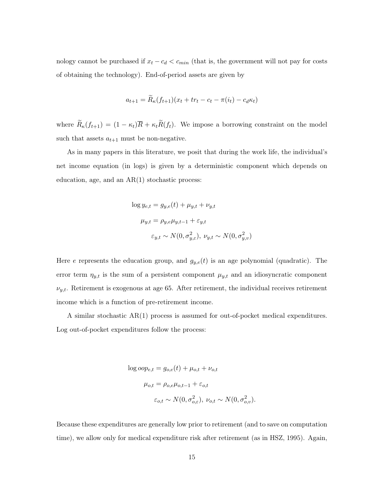nology cannot be purchased if  $x_t - c_d < c_{min}$  (that is, the government will not pay for costs of obtaining the technology). End-of-period assets are given by

$$
a_{t+1} = R_{\kappa}(f_{t+1})(x_t + tr_t - c_t - \pi(i_t) - c_d \kappa_t)
$$

where  $\widetilde{R}_{\kappa}(f_{t+1}) = (1 - \kappa_t)\overline{R} + \kappa_t \widetilde{R}(f_t)$ . We impose a borrowing constraint on the model such that assets  $a_{t+1}$  must be non-negative.

As in many papers in this literature, we posit that during the work life, the individual's net income equation (in logs) is given by a deterministic component which depends on education, age, and an  $AR(1)$  stochastic process:

$$
\log y_{e,t} = g_{y,e}(t) + \mu_{y,t} + \nu_{y,t}
$$

$$
\mu_{y,t} = \rho_{y,e}\mu_{y,t-1} + \varepsilon_{y,t}
$$

$$
\varepsilon_{y,t} \sim N(0, \sigma_{y,\varepsilon}^2), \ \nu_{y,t} \sim N(0, \sigma_{y,v}^2)
$$

Here e represents the education group, and  $g_{y,e}(t)$  is an age polynomial (quadratic). The error term  $\eta_{y,t}$  is the sum of a persistent component  $\mu_{y,t}$  and an idiosyncratic component  $\nu_{y,t}$ . Retirement is exogenous at age 65. After retirement, the individual receives retirement income which is a function of pre-retirement income.

A similar stochastic AR(1) process is assumed for out-of-pocket medical expenditures. Log out-of-pocket expenditures follow the process:

$$
\log oop_{e,t} = g_{o,e}(t) + \mu_{o,t} + \nu_{o,t}
$$

$$
\mu_{o,t} = \rho_{o,e}\mu_{o,t-1} + \varepsilon_{o,t}
$$

$$
\varepsilon_{o,t} \sim N(0, \sigma_{o,\varepsilon}^2), \ \nu_{o,t} \sim N(0, \sigma_{o,v}^2).
$$

Because these expenditures are generally low prior to retirement (and to save on computation time), we allow only for medical expenditure risk after retirement (as in HSZ, 1995). Again,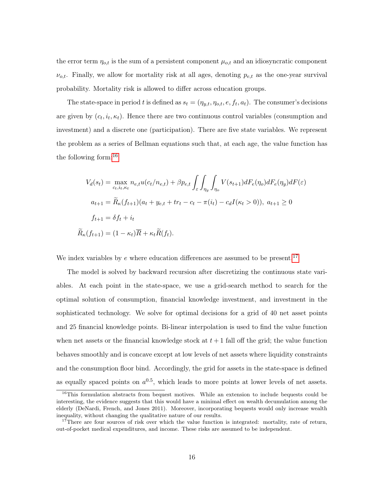the error term  $\eta_{o,t}$  is the sum of a persistent component  $\mu_{o,t}$  and an idiosyncratic component  $\nu_{o,t}$ . Finally, we allow for mortality risk at all ages, denoting  $p_{e,t}$  as the one-year survival probability. Mortality risk is allowed to differ across education groups.

The state-space in period t is defined as  $s_t = (\eta_{y,t}, \eta_{o,t}, e, f_t, a_t)$ . The consumer's decisions are given by  $(c_t, i_t, \kappa_t)$ . Hence there are two continuous control variables (consumption and investment) and a discrete one (participation). There are five state variables. We represent the problem as a series of Bellman equations such that, at each age, the value function has the following form:[16](#page-16-0)

$$
V_d(s_t) = \max_{c_t, i_t, \kappa_t} n_{e,t} u(c_t/n_{e,t}) + \beta p_{e,t} \int_{\varepsilon} \int_{\eta_y} \int_{\eta_o} V(s_{t+1}) dF_e(\eta_o) dF_e(\eta_y) dF(\varepsilon)
$$
  

$$
a_{t+1} = \widetilde{R}_{\kappa}(f_{t+1})(a_t + y_{e,t} + tr_t - c_t - \pi(i_t) - c_d I(\kappa_t > 0)), \ a_{t+1} \ge 0
$$
  

$$
f_{t+1} = \delta f_t + i_t
$$
  

$$
\widetilde{R}_{\kappa}(f_{t+1}) = (1 - \kappa_t) \overline{R} + \kappa_t \widetilde{R}(f_t).
$$

We index variables by  $e$  where education differences are assumed to be present.<sup>[17](#page-16-1)</sup>

The model is solved by backward recursion after discretizing the continuous state variables. At each point in the state-space, we use a grid-search method to search for the optimal solution of consumption, financial knowledge investment, and investment in the sophisticated technology. We solve for optimal decisions for a grid of 40 net asset points and 25 financial knowledge points. Bi-linear interpolation is used to find the value function when net assets or the financial knowledge stock at  $t + 1$  fall off the grid; the value function behaves smoothly and is concave except at low levels of net assets where liquidity constraints and the consumption floor bind. Accordingly, the grid for assets in the state-space is defined as equally spaced points on  $a^{0.5}$ , which leads to more points at lower levels of net assets.

<span id="page-16-0"></span><sup>&</sup>lt;sup>16</sup>This formulation abstracts from bequest motives. While an extension to include bequests could be interesting, the evidence suggests that this would have a minimal effect on wealth decumulation among the elderly (DeNardi, French, and Jones 2011). Moreover, incorporating bequests would only increase wealth inequality, without changing the qualitative nature of our results.

<span id="page-16-1"></span><sup>&</sup>lt;sup>17</sup>There are four sources of risk over which the value function is integrated: mortality, rate of return, out-of-pocket medical expenditures, and income. These risks are assumed to be independent.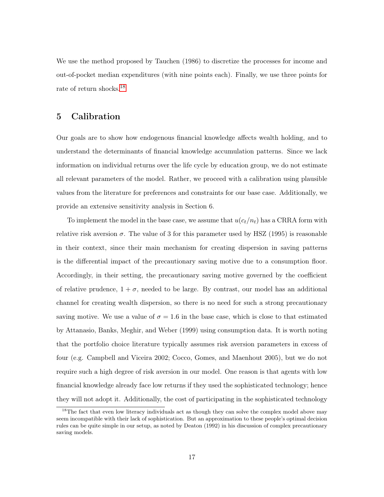We use the method proposed by Tauchen (1986) to discretize the processes for income and out-of-pocket median expenditures (with nine points each). Finally, we use three points for rate of return shocks.<sup>[18](#page-17-0)</sup>

# 5 Calibration

Our goals are to show how endogenous financial knowledge affects wealth holding, and to understand the determinants of financial knowledge accumulation patterns. Since we lack information on individual returns over the life cycle by education group, we do not estimate all relevant parameters of the model. Rather, we proceed with a calibration using plausible values from the literature for preferences and constraints for our base case. Additionally, we provide an extensive sensitivity analysis in Section 6.

To implement the model in the base case, we assume that  $u(c_t/n_t)$  has a CRRA form with relative risk aversion  $\sigma$ . The value of 3 for this parameter used by HSZ (1995) is reasonable in their context, since their main mechanism for creating dispersion in saving patterns is the differential impact of the precautionary saving motive due to a consumption floor. Accordingly, in their setting, the precautionary saving motive governed by the coefficient of relative prudence,  $1 + \sigma$ , needed to be large. By contrast, our model has an additional channel for creating wealth dispersion, so there is no need for such a strong precautionary saving motive. We use a value of  $\sigma = 1.6$  in the base case, which is close to that estimated by Attanasio, Banks, Meghir, and Weber (1999) using consumption data. It is worth noting that the portfolio choice literature typically assumes risk aversion parameters in excess of four (e.g. Campbell and Viceira 2002; Cocco, Gomes, and Maenhout 2005), but we do not require such a high degree of risk aversion in our model. One reason is that agents with low financial knowledge already face low returns if they used the sophisticated technology; hence they will not adopt it. Additionally, the cost of participating in the sophisticated technology

<span id="page-17-0"></span><sup>&</sup>lt;sup>18</sup>The fact that even low literacy individuals act as though they can solve the complex model above may seem incompatible with their lack of sophistication. But an approximation to these people's optimal decision rules can be quite simple in our setup, as noted by Deaton (1992) in his discussion of complex precautionary saving models.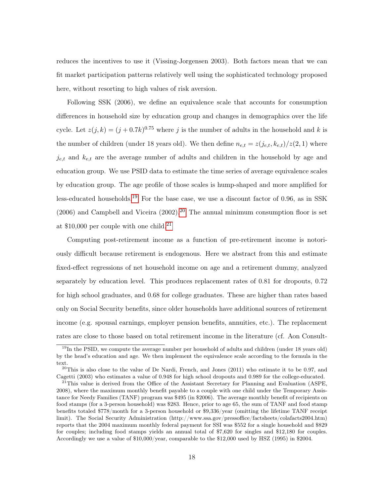reduces the incentives to use it (Vissing-Jorgensen 2003). Both factors mean that we can fit market participation patterns relatively well using the sophisticated technology proposed here, without resorting to high values of risk aversion.

Following SSK (2006), we define an equivalence scale that accounts for consumption differences in household size by education group and changes in demographics over the life cycle. Let  $z(j,k) = (j+0.7k)^{0.75}$  where j is the number of adults in the household and k is the number of children (under 18 years old). We then define  $n_{e,t} = z(j_{e,t}, k_{e,t})/z(2, 1)$  where  $j_{e,t}$  and  $k_{e,t}$  are the average number of adults and children in the household by age and education group. We use PSID data to estimate the time series of average equivalence scales by education group. The age profile of those scales is hump-shaped and more amplified for less-educated households.<sup>[19](#page-18-0)</sup> For the base case, we use a discount factor of 0.96, as in SSK  $(2006)$  $(2006)$  $(2006)$  and Campbell and Viceira  $(2002)$ .<sup>20</sup> The annual minimum consumption floor is set at \$10,000 per couple with one child.<sup>[21](#page-18-2)</sup>

Computing post-retirement income as a function of pre-retirement income is notoriously difficult because retirement is endogenous. Here we abstract from this and estimate fixed-effect regressions of net household income on age and a retirement dummy, analyzed separately by education level. This produces replacement rates of 0.81 for dropouts, 0.72 for high school graduates, and 0.68 for college graduates. These are higher than rates based only on Social Security benefits, since older households have additional sources of retirement income (e.g. spousal earnings, employer pension benefits, annuities, etc.). The replacement rates are close to those based on total retirement income in the literature (cf. Aon Consult-

<span id="page-18-0"></span><sup>&</sup>lt;sup>19</sup>In the PSID, we compute the average number per household of adults and children (under 18 years old) by the head's education and age. We then implement the equivalence scale according to the formula in the text.

<span id="page-18-1"></span><sup>&</sup>lt;sup>20</sup>This is also close to the value of De Nardi, French, and Jones  $(2011)$  who estimate it to be 0.97, and Cagetti (2003) who estimates a value of 0.948 for high school dropouts and 0.989 for the college-educated.

<span id="page-18-2"></span> $^{21}$ This value is derived from the Office of the Assistant Secretary for Planning and Evaluation (ASPE, 2008), where the maximum monthly benefit payable to a couple with one child under the Temporary Assistance for Needy Families (TANF) program was \$495 (in \$2006). The average monthly benefit of recipients on food stamps (for a 3-person household) was \$283. Hence, prior to age 65, the sum of TANF and food stamp benefits totaled \$778/month for a 3-person household or \$9,336/year (omitting the lifetime TANF receipt limit). The Social Security Administration (http://www.ssa.gov/pressoffice/factsheets/colafacts2004.htm) reports that the 2004 maximum monthly federal payment for SSI was \$552 for a single household and \$829 for couples; including food stamps yields an annual total of \$7,620 for singles and \$12,180 for couples. Accordingly we use a value of \$10,000/year, comparable to the \$12,000 used by HSZ (1995) in \$2004.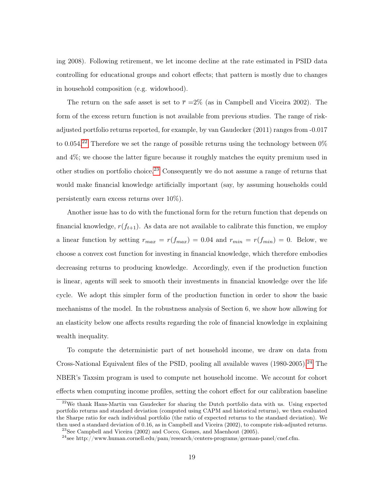ing 2008). Following retirement, we let income decline at the rate estimated in PSID data controlling for educational groups and cohort effects; that pattern is mostly due to changes in household composition (e.g. widowhood).

The return on the safe asset is set to  $\bar{r} = 2\%$  (as in Campbell and Viceira 2002). The form of the excess return function is not available from previous studies. The range of riskadjusted portfolio returns reported, for example, by van Gaudecker (2011) ranges from -0.017 to 0.054.<sup>[22](#page-19-0)</sup> Therefore we set the range of possible returns using the technology between  $0\%$ and 4%; we choose the latter figure because it roughly matches the equity premium used in other studies on portfolio choice.<sup>[23](#page-19-1)</sup> Consequently we do not assume a range of returns that would make financial knowledge artificially important (say, by assuming households could persistently earn excess returns over 10%).

Another issue has to do with the functional form for the return function that depends on financial knowledge,  $r(f_{t+1})$ . As data are not available to calibrate this function, we employ a linear function by setting  $r_{max} = r(f_{max}) = 0.04$  and  $r_{min} = r(f_{min}) = 0$ . Below, we choose a convex cost function for investing in financial knowledge, which therefore embodies decreasing returns to producing knowledge. Accordingly, even if the production function is linear, agents will seek to smooth their investments in financial knowledge over the life cycle. We adopt this simpler form of the production function in order to show the basic mechanisms of the model. In the robustness analysis of Section 6, we show how allowing for an elasticity below one affects results regarding the role of financial knowledge in explaining wealth inequality.

To compute the deterministic part of net household income, we draw on data from Cross-National Equivalent files of the PSID, pooling all available waves  $(1980-2005).<sup>24</sup>$  $(1980-2005).<sup>24</sup>$  $(1980-2005).<sup>24</sup>$  The NBER's Taxsim program is used to compute net household income. We account for cohort effects when computing income profiles, setting the cohort effect for our calibration baseline

<span id="page-19-0"></span><sup>&</sup>lt;sup>22</sup>We thank Hans-Martin van Gaudecker for sharing the Dutch portfolio data with us. Using expected portfolio returns and standard deviation (computed using CAPM and historical returns), we then evaluated the Sharpe ratio for each individual portfolio (the ratio of expected returns to the standard deviation). We then used a standard deviation of 0.16, as in Campbell and Viceira (2002), to compute risk-adjusted returns. <sup>23</sup>See Campbell and Viceira (2002) and Cocco, Gomes, and Maenhout (2005).

<span id="page-19-2"></span><span id="page-19-1"></span> $^{24}\rm{see}$ http://www.human.cornell.edu/pam/research/centers-programs/german-panel/cnef.cfm.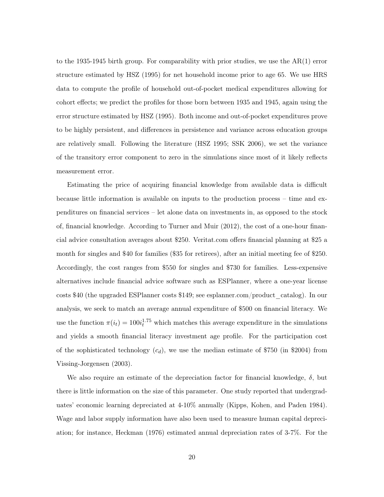to the 1935-1945 birth group. For comparability with prior studies, we use the AR(1) error structure estimated by HSZ (1995) for net household income prior to age 65. We use HRS data to compute the profile of household out-of-pocket medical expenditures allowing for cohort effects; we predict the profiles for those born between 1935 and 1945, again using the error structure estimated by HSZ (1995). Both income and out-of-pocket expenditures prove to be highly persistent, and differences in persistence and variance across education groups are relatively small. Following the literature (HSZ 1995; SSK 2006), we set the variance of the transitory error component to zero in the simulations since most of it likely reflects measurement error.

Estimating the price of acquiring financial knowledge from available data is difficult because little information is available on inputs to the production process – time and expenditures on financial services – let alone data on investments in, as opposed to the stock of, financial knowledge. According to Turner and Muir (2012), the cost of a one-hour financial advice consultation averages about \$250. Veritat.com offers financial planning at \$25 a month for singles and \$40 for families (\$35 for retirees), after an initial meeting fee of \$250. Accordingly, the cost ranges from \$550 for singles and \$730 for families. Less-expensive alternatives include financial advice software such as ESPlanner, where a one-year license costs \$40 (the upgraded ESPlanner costs \$149; see esplanner.com/product\_catalog). In our analysis, we seek to match an average annual expenditure of \$500 on financial literacy. We use the function  $\pi(i_t) = 100i_t^{1.75}$  which matches this average expenditure in the simulations and yields a smooth financial literacy investment age profile. For the participation cost of the sophisticated technology  $(c_d)$ , we use the median estimate of \$750 (in \$2004) from Vissing-Jorgensen (2003).

We also require an estimate of the depreciation factor for financial knowledge,  $\delta$ , but there is little information on the size of this parameter. One study reported that undergraduates' economic learning depreciated at 4-10% annually (Kipps, Kohen, and Paden 1984). Wage and labor supply information have also been used to measure human capital depreciation; for instance, Heckman (1976) estimated annual depreciation rates of 3-7%. For the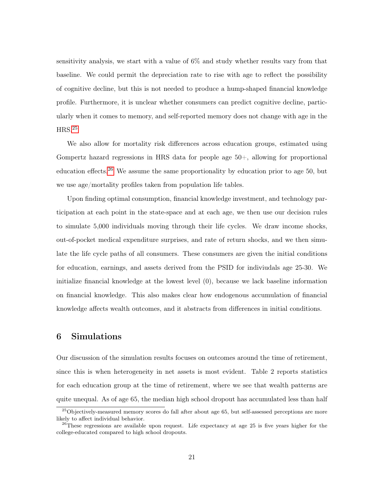sensitivity analysis, we start with a value of 6% and study whether results vary from that baseline. We could permit the depreciation rate to rise with age to reflect the possibility of cognitive decline, but this is not needed to produce a hump-shaped financial knowledge profile. Furthermore, it is unclear whether consumers can predict cognitive decline, particularly when it comes to memory, and self-reported memory does not change with age in the  $HRS.<sup>25</sup>$  $HRS.<sup>25</sup>$  $HRS.<sup>25</sup>$ 

We also allow for mortality risk differences across education groups, estimated using Gompertz hazard regressions in HRS data for people age 50+, allowing for proportional education effects.<sup>[26](#page-21-1)</sup> We assume the same proportionality by education prior to age 50, but we use age/mortality profiles taken from population life tables.

Upon finding optimal consumption, financial knowledge investment, and technology participation at each point in the state-space and at each age, we then use our decision rules to simulate 5,000 individuals moving through their life cycles. We draw income shocks, out-of-pocket medical expenditure surprises, and rate of return shocks, and we then simulate the life cycle paths of all consumers. These consumers are given the initial conditions for education, earnings, and assets derived from the PSID for indiviudals age 25-30. We initialize financial knowledge at the lowest level (0), because we lack baseline information on financial knowledge. This also makes clear how endogenous accumulation of financial knowledge affects wealth outcomes, and it abstracts from differences in initial conditions.

# 6 Simulations

Our discussion of the simulation results focuses on outcomes around the time of retirement, since this is when heterogeneity in net assets is most evident. Table 2 reports statistics for each education group at the time of retirement, where we see that wealth patterns are quite unequal. As of age 65, the median high school dropout has accumulated less than half

<span id="page-21-0"></span><sup>25</sup>Objectively-measured memory scores do fall after about age 65, but self-assessed perceptions are more likely to affect individual behavior.

<span id="page-21-1"></span><sup>&</sup>lt;sup>26</sup>These regressions are available upon request. Life expectancy at age 25 is five years higher for the college-educated compared to high school dropouts.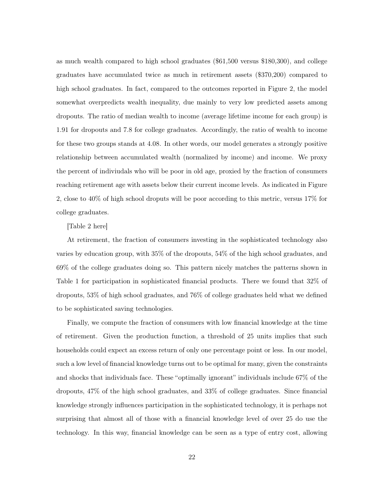as much wealth compared to high school graduates (\$61,500 versus \$180,300), and college graduates have accumulated twice as much in retirement assets (\$370,200) compared to high school graduates. In fact, compared to the outcomes reported in Figure 2, the model somewhat overpredicts wealth inequality, due mainly to very low predicted assets among dropouts. The ratio of median wealth to income (average lifetime income for each group) is 1.91 for dropouts and 7.8 for college graduates. Accordingly, the ratio of wealth to income for these two groups stands at 4.08. In other words, our model generates a strongly positive relationship between accumulated wealth (normalized by income) and income. We proxy the percent of indiviudals who will be poor in old age, proxied by the fraction of consumers reaching retirement age with assets below their current income levels. As indicated in Figure 2, close to 40% of high school droputs will be poor according to this metric, versus 17% for college graduates.

[Table 2 here]

At retirement, the fraction of consumers investing in the sophisticated technology also varies by education group, with 35% of the dropouts, 54% of the high school graduates, and 69% of the college graduates doing so. This pattern nicely matches the patterns shown in Table 1 for participation in sophisticated financial products. There we found that 32% of dropouts, 53% of high school graduates, and 76% of college graduates held what we defined to be sophisticated saving technologies.

Finally, we compute the fraction of consumers with low financial knowledge at the time of retirement. Given the production function, a threshold of 25 units implies that such households could expect an excess return of only one percentage point or less. In our model, such a low level of financial knowledge turns out to be optimal for many, given the constraints and shocks that individuals face. These "optimally ignorant" individuals include 67% of the dropouts, 47% of the high school graduates, and 33% of college graduates. Since financial knowledge strongly influences participation in the sophisticated technology, it is perhaps not surprising that almost all of those with a financial knowledge level of over 25 do use the technology. In this way, financial knowledge can be seen as a type of entry cost, allowing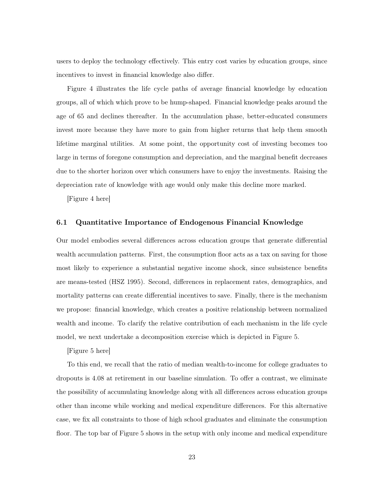users to deploy the technology effectively. This entry cost varies by education groups, since incentives to invest in financial knowledge also differ.

Figure 4 illustrates the life cycle paths of average financial knowledge by education groups, all of which which prove to be hump-shaped. Financial knowledge peaks around the age of 65 and declines thereafter. In the accumulation phase, better-educated consumers invest more because they have more to gain from higher returns that help them smooth lifetime marginal utilities. At some point, the opportunity cost of investing becomes too large in terms of foregone consumption and depreciation, and the marginal benefit decreases due to the shorter horizon over which consumers have to enjoy the investments. Raising the depreciation rate of knowledge with age would only make this decline more marked.

[Figure 4 here]

### 6.1 Quantitative Importance of Endogenous Financial Knowledge

Our model embodies several differences across education groups that generate differential wealth accumulation patterns. First, the consumption floor acts as a tax on saving for those most likely to experience a substantial negative income shock, since subsistence benefits are means-tested (HSZ 1995). Second, differences in replacement rates, demographics, and mortality patterns can create differential incentives to save. Finally, there is the mechanism we propose: financial knowledge, which creates a positive relationship between normalized wealth and income. To clarify the relative contribution of each mechanism in the life cycle model, we next undertake a decomposition exercise which is depicted in Figure 5.

[Figure 5 here]

To this end, we recall that the ratio of median wealth-to-income for college graduates to dropouts is 4.08 at retirement in our baseline simulation. To offer a contrast, we eliminate the possibility of accumulating knowledge along with all differences across education groups other than income while working and medical expenditure differences. For this alternative case, we fix all constraints to those of high school graduates and eliminate the consumption floor. The top bar of Figure 5 shows in the setup with only income and medical expenditure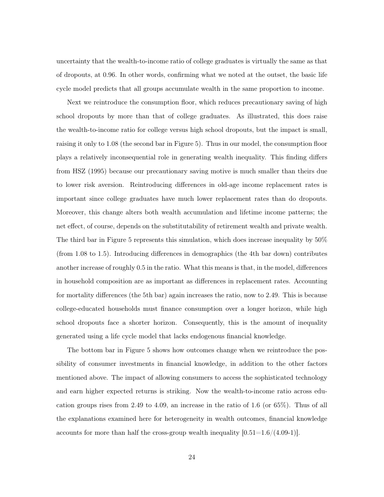uncertainty that the wealth-to-income ratio of college graduates is virtually the same as that of dropouts, at 0.96. In other words, confirming what we noted at the outset, the basic life cycle model predicts that all groups accumulate wealth in the same proportion to income.

Next we reintroduce the consumption floor, which reduces precautionary saving of high school dropouts by more than that of college graduates. As illustrated, this does raise the wealth-to-income ratio for college versus high school dropouts, but the impact is small, raising it only to 1.08 (the second bar in Figure 5). Thus in our model, the consumption floor plays a relatively inconsequential role in generating wealth inequality. This finding differs from HSZ (1995) because our precautionary saving motive is much smaller than theirs due to lower risk aversion. Reintroducing differences in old-age income replacement rates is important since college graduates have much lower replacement rates than do dropouts. Moreover, this change alters both wealth accumulation and lifetime income patterns; the net effect, of course, depends on the substitutability of retirement wealth and private wealth. The third bar in Figure 5 represents this simulation, which does increase inequality by 50% (from 1.08 to 1.5). Introducing differences in demographics (the 4th bar down) contributes another increase of roughly 0.5 in the ratio. What this means is that, in the model, differences in household composition are as important as differences in replacement rates. Accounting for mortality differences (the 5th bar) again increases the ratio, now to 2.49. This is because college-educated households must finance consumption over a longer horizon, while high school dropouts face a shorter horizon. Consequently, this is the amount of inequality generated using a life cycle model that lacks endogenous financial knowledge.

The bottom bar in Figure 5 shows how outcomes change when we reintroduce the possibility of consumer investments in financial knowledge, in addition to the other factors mentioned above. The impact of allowing consumers to access the sophisticated technology and earn higher expected returns is striking. Now the wealth-to-income ratio across education groups rises from 2.49 to 4.09, an increase in the ratio of 1.6 (or 65%). Thus of all the explanations examined here for heterogeneity in wealth outcomes, financial knowledge accounts for more than half the cross-group wealth inequality  $[0.51=1.6/(4.09-1)]$ .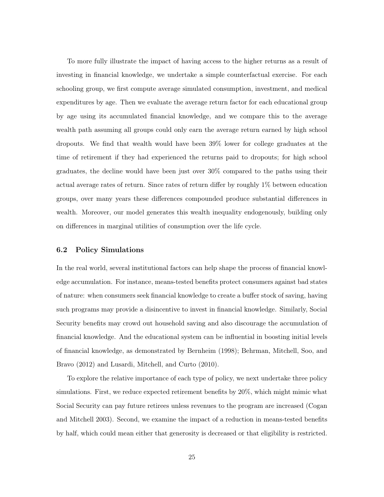To more fully illustrate the impact of having access to the higher returns as a result of investing in financial knowledge, we undertake a simple counterfactual exercise. For each schooling group, we first compute average simulated consumption, investment, and medical expenditures by age. Then we evaluate the average return factor for each educational group by age using its accumulated financial knowledge, and we compare this to the average wealth path assuming all groups could only earn the average return earned by high school dropouts. We find that wealth would have been 39% lower for college graduates at the time of retirement if they had experienced the returns paid to dropouts; for high school graduates, the decline would have been just over 30% compared to the paths using their actual average rates of return. Since rates of return differ by roughly 1% between education groups, over many years these differences compounded produce substantial differences in wealth. Moreover, our model generates this wealth inequality endogenously, building only on differences in marginal utilities of consumption over the life cycle.

#### 6.2 Policy Simulations

In the real world, several institutional factors can help shape the process of financial knowledge accumulation. For instance, means-tested benefits protect consumers against bad states of nature: when consumers seek financial knowledge to create a buffer stock of saving, having such programs may provide a disincentive to invest in financial knowledge. Similarly, Social Security benefits may crowd out household saving and also discourage the accumulation of financial knowledge. And the educational system can be influential in boosting initial levels of financial knowledge, as demonstrated by Bernheim (1998); Behrman, Mitchell, Soo, and Bravo (2012) and Lusardi, Mitchell, and Curto (2010).

To explore the relative importance of each type of policy, we next undertake three policy simulations. First, we reduce expected retirement benefits by 20%, which might mimic what Social Security can pay future retirees unless revenues to the program are increased (Cogan and Mitchell 2003). Second, we examine the impact of a reduction in means-tested benefits by half, which could mean either that generosity is decreased or that eligibility is restricted.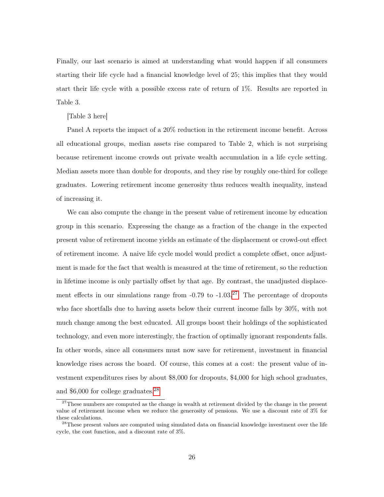Finally, our last scenario is aimed at understanding what would happen if all consumers starting their life cycle had a financial knowledge level of 25; this implies that they would start their life cycle with a possible excess rate of return of 1%. Results are reported in Table 3.

#### [Table 3 here]

Panel A reports the impact of a 20% reduction in the retirement income benefit. Across all educational groups, median assets rise compared to Table 2, which is not surprising because retirement income crowds out private wealth accumulation in a life cycle setting. Median assets more than double for dropouts, and they rise by roughly one-third for college graduates. Lowering retirement income generosity thus reduces wealth inequality, instead of increasing it.

We can also compute the change in the present value of retirement income by education group in this scenario. Expressing the change as a fraction of the change in the expected present value of retirement income yields an estimate of the displacement or crowd-out effect of retirement income. A naive life cycle model would predict a complete offset, once adjustment is made for the fact that wealth is measured at the time of retirement, so the reduction in lifetime income is only partially offset by that age. By contrast, the unadjusted displacement effects in our simulations range from  $-0.79$  to  $-1.03<sup>27</sup>$  $-1.03<sup>27</sup>$  $-1.03<sup>27</sup>$  The percentage of dropouts who face shortfalls due to having assets below their current income falls by 30%, with not much change among the best educated. All groups boost their holdings of the sophisticated technology, and even more interestingly, the fraction of optimally ignorant respondents falls. In other words, since all consumers must now save for retirement, investment in financial knowledge rises across the board. Of course, this comes at a cost: the present value of investment expenditures rises by about \$8,000 for dropouts, \$4,000 for high school graduates, and \$6,000 for college graduates.[28](#page-26-1)

<span id="page-26-0"></span><sup>&</sup>lt;sup>27</sup>These numbers are computed as the change in wealth at retirement divided by the change in the present value of retirement income when we reduce the generosity of pensions. We use a discount rate of 3% for these calculations.

<span id="page-26-1"></span><sup>&</sup>lt;sup>28</sup>These present values are computed using simulated data on financial knowledge investment over the life cycle, the cost function, and a discount rate of 3%.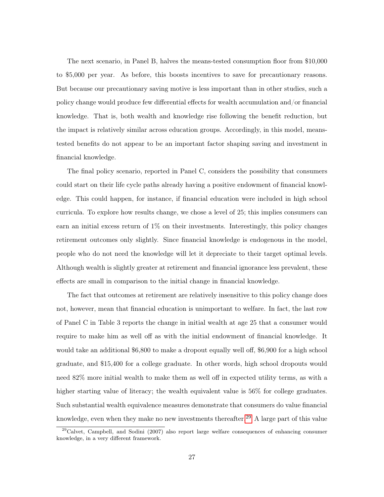The next scenario, in Panel B, halves the means-tested consumption floor from \$10,000 to \$5,000 per year. As before, this boosts incentives to save for precautionary reasons. But because our precautionary saving motive is less important than in other studies, such a policy change would produce few differential effects for wealth accumulation and/or financial knowledge. That is, both wealth and knowledge rise following the benefit reduction, but the impact is relatively similar across education groups. Accordingly, in this model, meanstested benefits do not appear to be an important factor shaping saving and investment in financial knowledge.

The final policy scenario, reported in Panel C, considers the possibility that consumers could start on their life cycle paths already having a positive endowment of financial knowledge. This could happen, for instance, if financial education were included in high school curricula. To explore how results change, we chose a level of 25; this implies consumers can earn an initial excess return of 1% on their investments. Interestingly, this policy changes retirement outcomes only slightly. Since financial knowledge is endogenous in the model, people who do not need the knowledge will let it depreciate to their target optimal levels. Although wealth is slightly greater at retirement and financial ignorance less prevalent, these effects are small in comparison to the initial change in financial knowledge.

The fact that outcomes at retirement are relatively insensitive to this policy change does not, however, mean that financial education is unimportant to welfare. In fact, the last row of Panel C in Table 3 reports the change in initial wealth at age 25 that a consumer would require to make him as well off as with the initial endowment of financial knowledge. It would take an additional \$6,800 to make a dropout equally well off, \$6,900 for a high school graduate, and \$15,400 for a college graduate. In other words, high school dropouts would need 82% more initial wealth to make them as well off in expected utility terms, as with a higher starting value of literacy; the wealth equivalent value is 56% for college graduates. Such substantial wealth equivalence measures demonstrate that consumers do value financial knowledge, even when they make no new investments thereafter.<sup>[29](#page-27-0)</sup> A large part of this value

<span id="page-27-0"></span> $29$ Calvet, Campbell, and Sodini (2007) also report large welfare consequences of enhancing consumer knowledge, in a very different framework.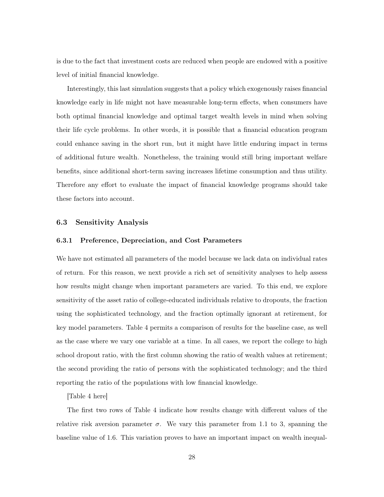is due to the fact that investment costs are reduced when people are endowed with a positive level of initial financial knowledge.

Interestingly, this last simulation suggests that a policy which exogenously raises financial knowledge early in life might not have measurable long-term effects, when consumers have both optimal financial knowledge and optimal target wealth levels in mind when solving their life cycle problems. In other words, it is possible that a financial education program could enhance saving in the short run, but it might have little enduring impact in terms of additional future wealth. Nonetheless, the training would still bring important welfare benefits, since additional short-term saving increases lifetime consumption and thus utility. Therefore any effort to evaluate the impact of financial knowledge programs should take these factors into account.

### 6.3 Sensitivity Analysis

### 6.3.1 Preference, Depreciation, and Cost Parameters

We have not estimated all parameters of the model because we lack data on individual rates of return. For this reason, we next provide a rich set of sensitivity analyses to help assess how results might change when important parameters are varied. To this end, we explore sensitivity of the asset ratio of college-educated individuals relative to dropouts, the fraction using the sophisticated technology, and the fraction optimally ignorant at retirement, for key model parameters. Table 4 permits a comparison of results for the baseline case, as well as the case where we vary one variable at a time. In all cases, we report the college to high school dropout ratio, with the first column showing the ratio of wealth values at retirement; the second providing the ratio of persons with the sophisticated technology; and the third reporting the ratio of the populations with low financial knowledge.

[Table 4 here]

The first two rows of Table 4 indicate how results change with different values of the relative risk aversion parameter  $\sigma$ . We vary this parameter from 1.1 to 3, spanning the baseline value of 1.6. This variation proves to have an important impact on wealth inequal-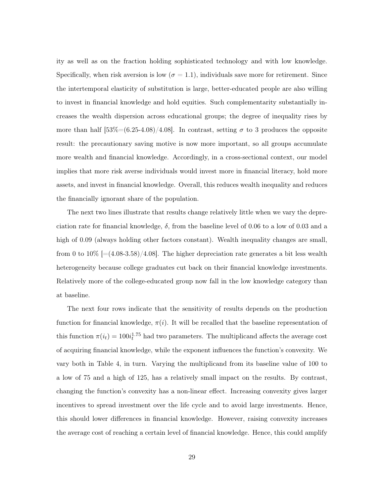ity as well as on the fraction holding sophisticated technology and with low knowledge. Specifically, when risk aversion is low  $(\sigma = 1.1)$ , individuals save more for retirement. Since the intertemporal elasticity of substitution is large, better-educated people are also willing to invest in financial knowledge and hold equities. Such complementarity substantially increases the wealth dispersion across educational groups; the degree of inequality rises by more than half  $[53\%=(6.25-4.08)/4.08]$ . In contrast, setting  $\sigma$  to 3 produces the opposite result: the precautionary saving motive is now more important, so all groups accumulate more wealth and financial knowledge. Accordingly, in a cross-sectional context, our model implies that more risk averse individuals would invest more in financial literacy, hold more assets, and invest in financial knowledge. Overall, this reduces wealth inequality and reduces the financially ignorant share of the population.

The next two lines illustrate that results change relatively little when we vary the depreciation rate for financial knowledge,  $\delta$ , from the baseline level of 0.06 to a low of 0.03 and a high of 0.09 (always holding other factors constant). Wealth inequality changes are small, from 0 to  $10\%$  [=(4.08-3.58)/4.08]. The higher depreciation rate generates a bit less wealth heterogeneity because college graduates cut back on their financial knowledge investments. Relatively more of the college-educated group now fall in the low knowledge category than at baseline.

The next four rows indicate that the sensitivity of results depends on the production function for financial knowledge,  $\pi(i)$ . It will be recalled that the baseline representation of this function  $\pi(i_t) = 100i_t^{1.75}$  had two parameters. The multiplicand affects the average cost of acquiring financial knowledge, while the exponent influences the function's convexity. We vary both in Table 4, in turn. Varying the multiplicand from its baseline value of 100 to a low of 75 and a high of 125, has a relatively small impact on the results. By contrast, changing the function's convexity has a non-linear effect. Increasing convexity gives larger incentives to spread investment over the life cycle and to avoid large investments. Hence, this should lower differences in financial knowledge. However, raising convexity increases the average cost of reaching a certain level of financial knowledge. Hence, this could amplify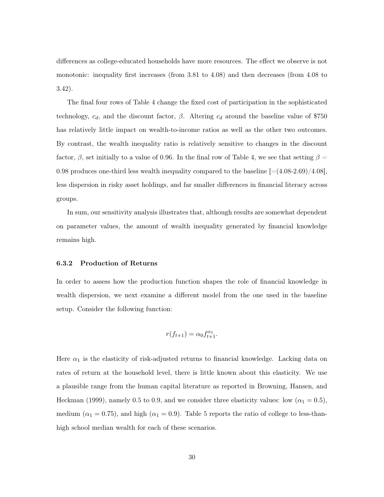differences as college-educated households have more resources. The effect we observe is not monotonic: inequality first increases (from 3.81 to 4.08) and then decreases (from 4.08 to 3.42).

The final four rows of Table 4 change the fixed cost of participation in the sophisticated technology,  $c_d$ , and the discount factor,  $\beta$ . Altering  $c_d$  around the baseline value of \$750 has relatively little impact on wealth-to-income ratios as well as the other two outcomes. By contrast, the wealth inequality ratio is relatively sensitive to changes in the discount factor,  $\beta$ , set initially to a value of 0.96. In the final row of Table 4, we see that setting  $\beta =$ 0.98 produces one-third less wealth inequality compared to the baseline  $[=(4.08-2.69)/4.08]$ , less dispersion in risky asset holdings, and far smaller differences in financial literacy across groups.

In sum, our sensitivity analysis illustrates that, although results are somewhat dependent on parameter values, the amount of wealth inequality generated by financial knowledge remains high.

#### 6.3.2 Production of Returns

In order to assess how the production function shapes the role of financial knowledge in wealth dispersion, we next examine a different model from the one used in the baseline setup. Consider the following function:

$$
r(f_{t+1}) = \alpha_0 f_{t+1}^{\alpha_1}.
$$

Here  $\alpha_1$  is the elasticity of risk-adjusted returns to financial knowledge. Lacking data on rates of return at the household level, there is little known about this elasticity. We use a plausible range from the human capital literature as reported in Browning, Hansen, and Heckman (1999), namely 0.5 to 0.9, and we consider three elasticity values: low ( $\alpha_1 = 0.5$ ), medium ( $\alpha_1 = 0.75$ ), and high ( $\alpha_1 = 0.9$ ). Table 5 reports the ratio of college to less-thanhigh school median wealth for each of these scenarios.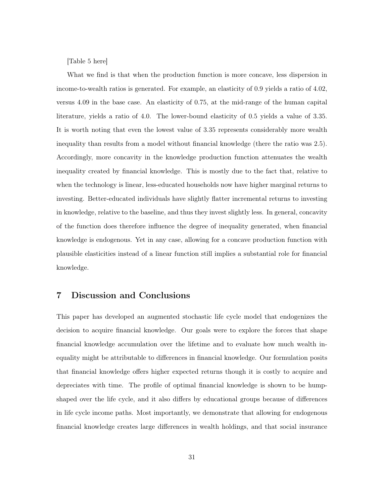[Table 5 here]

What we find is that when the production function is more concave, less dispersion in income-to-wealth ratios is generated. For example, an elasticity of 0.9 yields a ratio of 4.02, versus 4.09 in the base case. An elasticity of 0.75, at the mid-range of the human capital literature, yields a ratio of 4.0. The lower-bound elasticity of 0.5 yields a value of 3.35. It is worth noting that even the lowest value of 3.35 represents considerably more wealth inequality than results from a model without financial knowledge (there the ratio was 2.5). Accordingly, more concavity in the knowledge production function attenuates the wealth inequality created by financial knowledge. This is mostly due to the fact that, relative to when the technology is linear, less-educated households now have higher marginal returns to investing. Better-educated individuals have slightly flatter incremental returns to investing in knowledge, relative to the baseline, and thus they invest slightly less. In general, concavity of the function does therefore influence the degree of inequality generated, when financial knowledge is endogenous. Yet in any case, allowing for a concave production function with plausible elasticities instead of a linear function still implies a substantial role for financial knowledge.

### 7 Discussion and Conclusions

This paper has developed an augmented stochastic life cycle model that endogenizes the decision to acquire financial knowledge. Our goals were to explore the forces that shape financial knowledge accumulation over the lifetime and to evaluate how much wealth inequality might be attributable to differences in financial knowledge. Our formulation posits that financial knowledge offers higher expected returns though it is costly to acquire and depreciates with time. The profile of optimal financial knowledge is shown to be humpshaped over the life cycle, and it also differs by educational groups because of differences in life cycle income paths. Most importantly, we demonstrate that allowing for endogenous financial knowledge creates large differences in wealth holdings, and that social insurance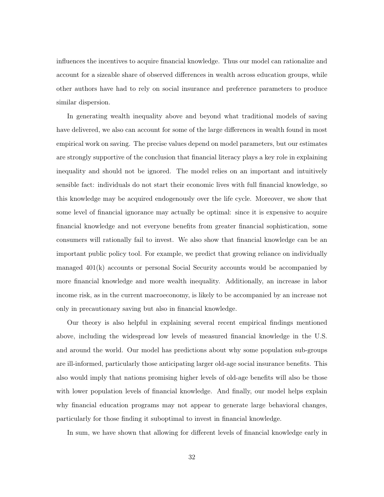influences the incentives to acquire financial knowledge. Thus our model can rationalize and account for a sizeable share of observed differences in wealth across education groups, while other authors have had to rely on social insurance and preference parameters to produce similar dispersion.

In generating wealth inequality above and beyond what traditional models of saving have delivered, we also can account for some of the large differences in wealth found in most empirical work on saving. The precise values depend on model parameters, but our estimates are strongly supportive of the conclusion that financial literacy plays a key role in explaining inequality and should not be ignored. The model relies on an important and intuitively sensible fact: individuals do not start their economic lives with full financial knowledge, so this knowledge may be acquired endogenously over the life cycle. Moreover, we show that some level of financial ignorance may actually be optimal: since it is expensive to acquire financial knowledge and not everyone benefits from greater financial sophistication, some consumers will rationally fail to invest. We also show that financial knowledge can be an important public policy tool. For example, we predict that growing reliance on individually managed 401(k) accounts or personal Social Security accounts would be accompanied by more financial knowledge and more wealth inequality. Additionally, an increase in labor income risk, as in the current macroeconomy, is likely to be accompanied by an increase not only in precautionary saving but also in financial knowledge.

Our theory is also helpful in explaining several recent empirical findings mentioned above, including the widespread low levels of measured financial knowledge in the U.S. and around the world. Our model has predictions about why some population sub-groups are ill-informed, particularly those anticipating larger old-age social insurance benefits. This also would imply that nations promising higher levels of old-age benefits will also be those with lower population levels of financial knowledge. And finally, our model helps explain why financial education programs may not appear to generate large behavioral changes, particularly for those finding it suboptimal to invest in financial knowledge.

In sum, we have shown that allowing for different levels of financial knowledge early in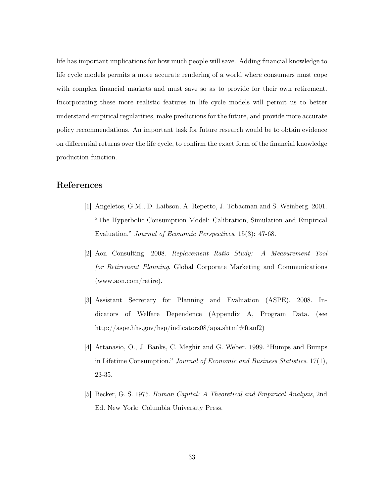life has important implications for how much people will save. Adding financial knowledge to life cycle models permits a more accurate rendering of a world where consumers must cope with complex financial markets and must save so as to provide for their own retirement. Incorporating these more realistic features in life cycle models will permit us to better understand empirical regularities, make predictions for the future, and provide more accurate policy recommendations. An important task for future research would be to obtain evidence on differential returns over the life cycle, to confirm the exact form of the financial knowledge production function.

# References

- [1] Angeletos, G.M., D. Laibson, A. Repetto, J. Tobacman and S. Weinberg. 2001. "The Hyperbolic Consumption Model: Calibration, Simulation and Empirical Evaluation." Journal of Economic Perspectives. 15(3): 47-68.
- [2] Aon Consulting. 2008. Replacement Ratio Study: A Measurement Tool for Retirement Planning. Global Corporate Marketing and Communications (www.aon.com/retire).
- [3] Assistant Secretary for Planning and Evaluation (ASPE). 2008. Indicators of Welfare Dependence (Appendix A, Program Data. (see http://aspe.hhs.gov/hsp/indicators08/apa.shtml#ftanf2)
- [4] Attanasio, O., J. Banks, C. Meghir and G. Weber. 1999. "Humps and Bumps in Lifetime Consumption." Journal of Economic and Business Statistics.  $17(1)$ , 23-35.
- [5] Becker, G. S. 1975. Human Capital: A Theoretical and Empirical Analysis, 2nd Ed. New York: Columbia University Press.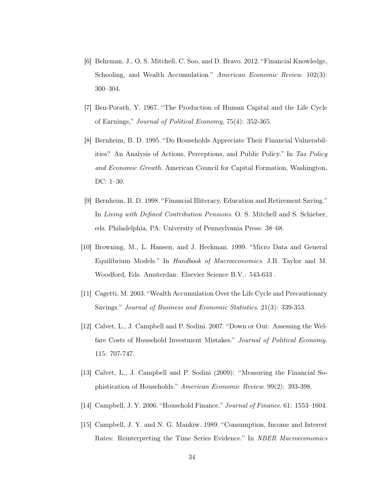- [6] Behrman, J., O. S. Mitchell, C. Soo, and D. Bravo. 2012. "Financial Knowledge, Schooling, and Wealth Accumulation." American Economic Review. 102(3): 300–304.
- [7] Ben-Porath, Y. 1967. "The Production of Human Capital and the Life Cycle of Earnings," Journal of Political Economy, 75(4): 352-365.
- [8] Bernheim, B. D. 1995. "Do Households Appreciate Their Financial Vulnerabilities? An Analysis of Actions, Perceptions, and Public Policy." In Tax Policy and Economic Growth. American Council for Capital Formation, Washington, DC: 1–30.
- [9] Bernheim, B. D. 1998. "Financial Illiteracy, Education and Retirement Saving." In Living with Defined Contribution Pensions. O. S. Mitchell and S. Schieber, eds. Philadelphia, PA: University of Pennsylvania Press: 38–68.
- [10] Browning, M., L. Hansen, and J. Heckman. 1999. "Micro Data and General Equilibrium Models." In Handbook of Macroeconomics. J.B. Taylor and M. Woodford, Eds. Amsterdan: Elsevier Science B.V.: 543-633 .
- [11] Cagetti, M. 2003. "Wealth Accumulation Over the Life Cycle and Precautionary Savings." Journal of Business and Economic Statistics. 21(3): 339-353.
- [12] Calvet, L., J. Campbell and P. Sodini. 2007. "Down or Out: Assessing the Welfare Costs of Household Investment Mistakes." Journal of Political Economy. 115: 707-747.
- [13] Calvet, L., J. Campbell and P. Sodini (2009): "Measuring the Financial Sophistication of Households." American Economic Review. 99(2): 393-398.
- [14] Campbell, J. Y. 2006. "Household Finance." Journal of Finance. 61: 1553–1604.
- [15] Campbell, J. Y. and N. G. Mankiw. 1989. "Consumption, Income and Interest Rates: Reinterpreting the Time Series Evidence." In NBER Macroeconomics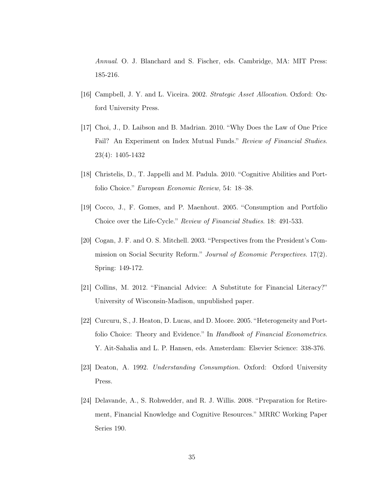Annual. O. J. Blanchard and S. Fischer, eds. Cambridge, MA: MIT Press: 185-216.

- [16] Campbell, J. Y. and L. Viceira. 2002. Strategic Asset Allocation. Oxford: Oxford University Press.
- [17] Choi, J., D. Laibson and B. Madrian. 2010. "Why Does the Law of One Price Fail? An Experiment on Index Mutual Funds." Review of Financial Studies. 23(4): 1405-1432
- [18] Christelis, D., T. Jappelli and M. Padula. 2010. "Cognitive Abilities and Portfolio Choice." European Economic Review, 54: 18–38.
- [19] Cocco, J., F. Gomes, and P. Maenhout. 2005. "Consumption and Portfolio Choice over the Life-Cycle." Review of Financial Studies. 18: 491-533.
- [20] Cogan, J. F. and O. S. Mitchell. 2003. "Perspectives from the President's Commission on Social Security Reform." Journal of Economic Perspectives. 17(2). Spring: 149-172.
- [21] Collins, M. 2012. "Financial Advice: A Substitute for Financial Literacy?" University of Wisconsin-Madison, unpublished paper.
- [22] Curcuru, S., J. Heaton, D. Lucas, and D. Moore. 2005. "Heterogeneity and Portfolio Choice: Theory and Evidence." In Handbook of Financial Econometrics. Y. Ait-Sahalia and L. P. Hansen, eds. Amsterdam: Elsevier Science: 338-376.
- [23] Deaton, A. 1992. Understanding Consumption. Oxford: Oxford University Press.
- [24] Delavande, A., S. Rohwedder, and R. J. Willis. 2008. "Preparation for Retirement, Financial Knowledge and Cognitive Resources." MRRC Working Paper Series 190.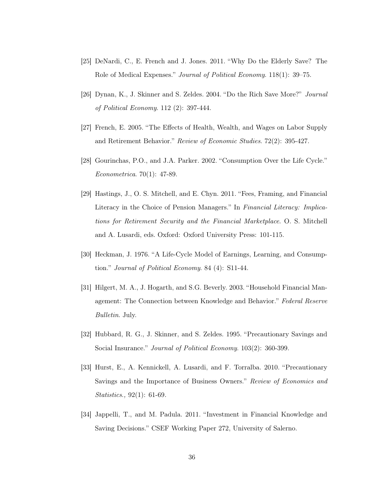- [25] DeNardi, C., E. French and J. Jones. 2011. "Why Do the Elderly Save? The Role of Medical Expenses." Journal of Political Economy. 118(1): 39–75.
- [26] Dynan, K., J. Skinner and S. Zeldes. 2004. "Do the Rich Save More?" Journal of Political Economy. 112 (2): 397-444.
- [27] French, E. 2005. "The Effects of Health, Wealth, and Wages on Labor Supply and Retirement Behavior." Review of Economic Studies. 72(2): 395-427.
- [28] Gourinchas, P.O., and J.A. Parker. 2002. "Consumption Over the Life Cycle." Econometrica. 70(1): 47-89.
- [29] Hastings, J., O. S. Mitchell, and E. Chyn. 2011. "Fees, Framing, and Financial Literacy in the Choice of Pension Managers." In Financial Literacy: Implications for Retirement Security and the Financial Marketplace. O. S. Mitchell and A. Lusardi, eds. Oxford: Oxford University Press: 101-115.
- [30] Heckman, J. 1976. "A Life-Cycle Model of Earnings, Learning, and Consumption." Journal of Political Economy. 84 (4): S11-44.
- [31] Hilgert, M. A., J. Hogarth, and S.G. Beverly. 2003. "Household Financial Management: The Connection between Knowledge and Behavior." Federal Reserve Bulletin. July.
- [32] Hubbard, R. G., J. Skinner, and S. Zeldes. 1995. "Precautionary Savings and Social Insurance." *Journal of Political Economy.* 103(2): 360-399.
- [33] Hurst, E., A. Kennickell, A. Lusardi, and F. Torralba. 2010. "Precautionary Savings and the Importance of Business Owners." Review of Economics and Statistics., 92(1): 61-69.
- [34] Jappelli, T., and M. Padula. 2011. "Investment in Financial Knowledge and Saving Decisions." CSEF Working Paper 272, University of Salerno.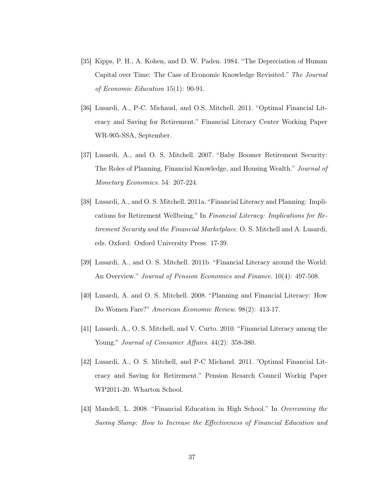- [35] Kipps, P. H., A. Kohen, and D. W. Paden. 1984. "The Depreciation of Human Capital over Time: The Case of Economic Knowledge Revisited." The Journal of Economic Education 15(1): 90-91.
- [36] Lusardi, A., P-C. Michaud, and O.S. Mitchell. 2011. "Optimal Financial Literacy and Saving for Retirement." Financial Literacy Center Working Paper WR-905-SSA, September.
- [37] Lusardi, A., and O. S. Mitchell. 2007. "Baby Boomer Retirement Security: The Roles of Planning, Financial Knowledge, and Housing Wealth." Journal of Monetary Economics. 54: 207-224.
- [38] Lusardi, A., and O. S. Mitchell. 2011a. "Financial Literacy and Planning: Implications for Retirement Wellbeing." In Financial Literacy: Implications for Retirement Security and the Financial Marketplace. O. S. Mitchell and A. Lusardi, eds. Oxford: Oxford University Press: 17-39.
- [39] Lusardi, A., and O. S. Mitchell. 2011b. "Financial Literacy around the World: An Overview." Journal of Pension Economics and Finance. 10(4): 497-508.
- [40] Lusardi, A. and O. S. Mitchell. 2008. "Planning and Financial Literacy: How Do Women Fare?" American Economic Review. 98(2): 413-17.
- [41] Lusardi, A., O. S. Mitchell, and V. Curto. 2010. "Financial Literacy among the Young." Journal of Consumer Affairs. 44(2): 358-380.
- [42] Lusardi, A., O. S. Mitchell, and P-C Michaud. 2011. "Optimal Financial Literacy and Saving for Retirement." Pension Resarch Council Workig Paper WP2011-20. Wharton School.
- [43] Mandell, L. 2008. "Financial Education in High School." In Overcoming the Saving Slump: How to Increase the Effectiveness of Financial Education and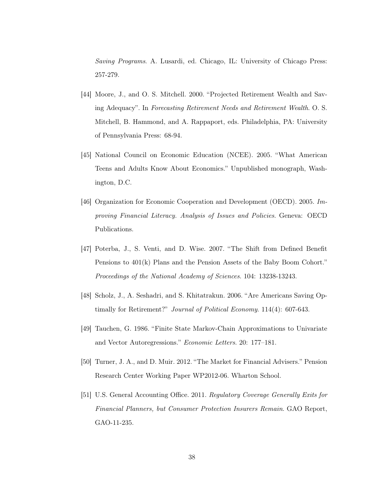Saving Programs. A. Lusardi, ed. Chicago, IL: University of Chicago Press: 257-279.

- [44] Moore, J., and O. S. Mitchell. 2000. "Projected Retirement Wealth and Saving Adequacy". In Forecasting Retirement Needs and Retirement Wealth. O. S. Mitchell, B. Hammond, and A. Rappaport, eds. Philadelphia, PA: University of Pennsylvania Press: 68-94.
- [45] National Council on Economic Education (NCEE). 2005. "What American Teens and Adults Know About Economics." Unpublished monograph, Washington, D.C.
- [46] Organization for Economic Cooperation and Development (OECD). 2005. Improving Financial Literacy. Analysis of Issues and Policies. Geneva: OECD Publications.
- [47] Poterba, J., S. Venti, and D. Wise. 2007. "The Shift from Defined Benefit Pensions to 401(k) Plans and the Pension Assets of the Baby Boom Cohort." Proceedings of the National Academy of Sciences. 104: 13238-13243.
- [48] Scholz, J., A. Seshadri, and S. Khitatrakun. 2006. "Are Americans Saving Optimally for Retirement?" Journal of Political Economy. 114(4): 607-643.
- [49] Tauchen, G. 1986. "Finite State Markov-Chain Approximations to Univariate and Vector Autoregressions." Economic Letters. 20: 177–181.
- [50] Turner, J. A., and D. Muir. 2012. "The Market for Financial Advisers." Pension Research Center Working Paper WP2012-06. Wharton School.
- [51] U.S. General Accounting Office. 2011. Regulatory Coverage Generally Exits for Financial Planners, but Consumer Protection Insurers Remain. GAO Report, GAO-11-235.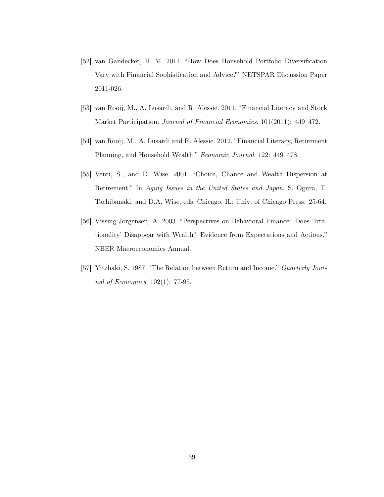- [52] van Gaudecker, H. M. 2011. "How Does Household Portfolio Diversification Vary with Financial Sophistication and Advice?" NETSPAR Discussion Paper 2011-026.
- [53] van Rooij, M., A. Lusardi, and R. Alessie. 2011. "Financial Literacy and Stock Market Participation. Journal of Financial Economics. 101(2011): 449–472.
- [54] van Rooij, M., A. Lusardi and R. Alessie. 2012. "Financial Literacy, Retirement Planning, and Household Wealth." Economic Journal. 122: 449–478.
- [55] Venti, S., and D. Wise. 2001. "Choice, Chance and Wealth Dispersion at Retirement." In Aging Issues in the United States and Japan. S. Ogura, T. Tachibanaki, and D.A. Wise, eds. Chicago, IL: Univ. of Chicago Press: 25-64.
- [56] Vissing-Jorgensen, A. 2003. "Perspectives on Behavioral Finance: Does 'Irrationality' Disappear with Wealth? Evidence from Expectations and Actions." NBER Macroeconomics Annual.
- [57] Yitzhaki, S. 1987. "The Relation between Return and Income." Quarterly Journal of Economics. 102(1): 77-95.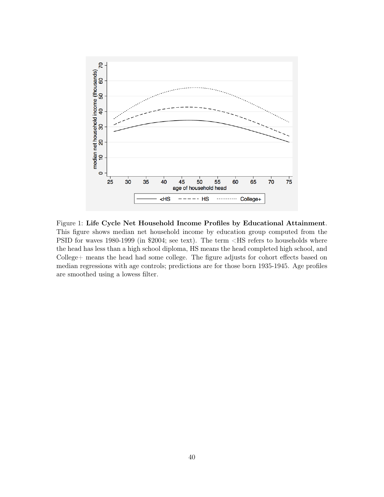

Figure 1: Life Cycle Net Household Income Profiles by Educational Attainment. This figure shows median net household income by education group computed from the PSID for waves 1980-1999 (in \$2004; see text). The term <HS refers to households where the head has less than a high school diploma, HS means the head completed high school, and College+ means the head had some college. The figure adjusts for cohort effects based on median regressions with age controls; predictions are for those born 1935-1945. Age profiles are smoothed using a lowess filter.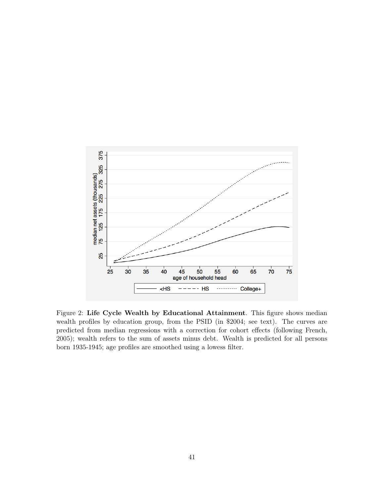

Figure 2: Life Cycle Wealth by Educational Attainment. This figure shows median wealth profiles by education group, from the PSID (in \$2004; see text). The curves are predicted from median regressions with a correction for cohort effects (following French, 2005); wealth refers to the sum of assets minus debt. Wealth is predicted for all persons born 1935-1945; age profiles are smoothed using a lowess filter.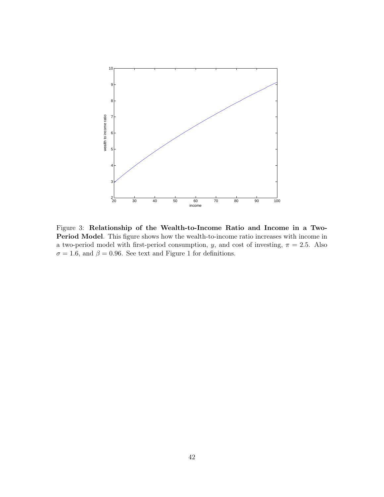

Figure 3: Relationship of the Wealth-to-Income Ratio and Income in a Two-Period Model. This figure shows how the wealth-to-income ratio increases with income in a two-period model with first-period consumption, y, and cost of investing,  $\pi = 2.5$ . Also  $\sigma = 1.6$ , and  $\beta = 0.96$ . See text and Figure 1 for definitions.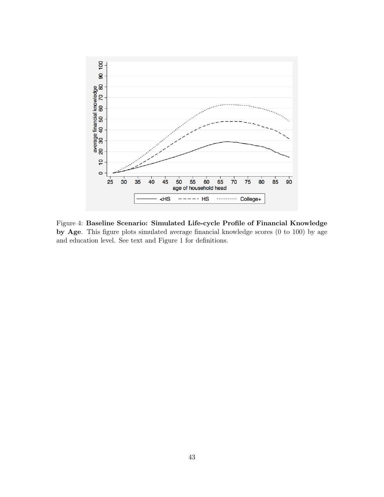

Figure 4: Baseline Scenario: Simulated Life-cycle Profile of Financial Knowledge by Age. This figure plots simulated average financial knowledge scores (0 to 100) by age and education level. See text and Figure 1 for definitions.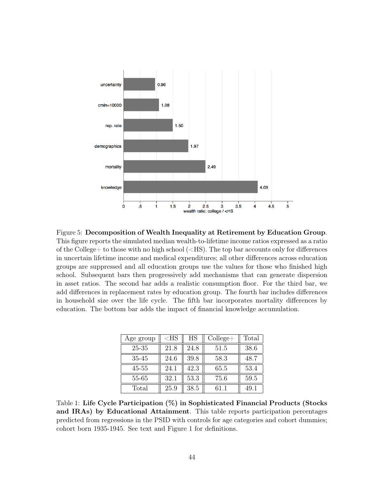

Figure 5: Decomposition of Wealth Inequality at Retirement by Education Group. This figure reports the simulated median wealth-to-lifetime income ratios expressed as a ratio of the College+ to those with no high school  $(<\text{HS})$ . The top bar accounts only for differences in uncertain lifetime income and medical expenditures; all other differences across education groups are suppressed and all education groups use the values for those who finished high school. Subsequent bars then progressively add mechanisms that can generate dispersion in asset ratios. The second bar adds a realistic consumption floor. For the third bar, we add differences in replacement rates by education group. The fourth bar includes differences in household size over the life cycle. The fifth bar incorporates mortality differences by education. The bottom bar adds the impact of financial knowledge accumulation.

| Age group | ${ <\hspace{-1.5pt}{\rm HS}\hspace{-1.5pt}}$ | HS   | $\text{College}+$ | Total |
|-----------|----------------------------------------------|------|-------------------|-------|
| 25-35     | 21.8                                         | 24.8 | 51.5              | 38.6  |
| 35-45     | 24.6                                         | 39.8 | 58.3              | 48.7  |
| 45-55     | 24.1                                         | 42.3 | 65.5              | 53.4  |
| 55-65     | 32.1                                         | 53.3 | 75.6              | 59.5  |
| Total     | 25.9                                         | 38.5 | 61.1              | 49.1  |

Table 1: Life Cycle Participation (%) in Sophisticated Financial Products (Stocks and IRAs) by Educational Attainment. This table reports participation percentages predicted from regressions in the PSID with controls for age categories and cohort dummies; cohort born 1935-1945. See text and Figure 1 for definitions.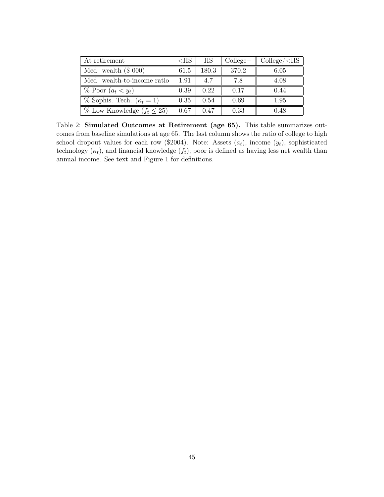| At retirement                       | $<$ HS | HS.   | $\text{College}+$ | $\text{College}/\text{HSS}$ |
|-------------------------------------|--------|-------|-------------------|-----------------------------|
| Med. wealth $(\$ 000)$              | 61.5   | 180.3 | 370.2             | 6.05                        |
| Med. wealth-to-income ratio         | 1.91   | 4.7   | 7.8               | 4.08                        |
| $\%$ Poor $(a_t < y_t)$             | 0.39   | 0.22  | 0.17              | 0.44                        |
| $\%$ Sophis. Tech. $(\kappa_t = 1)$ | 0.35   | 0.54  | 0.69              | 1.95                        |
| $\%$ Low Knowledge $(f_t \leq 25)$  | 0.67   | 0.47  | 0.33              | 0.48                        |

Table 2: Simulated Outcomes at Retirement (age 65). This table summarizes outcomes from baseline simulations at age 65. The last column shows the ratio of college to high school dropout values for each row (\$2004). Note: Assets  $(a_t)$ , income  $(y_t)$ , sophisticated technology  $(\kappa_t)$ , and financial knowledge  $(f_t)$ ; poor is defined as having less net wealth than annual income. See text and Figure 1 for definitions.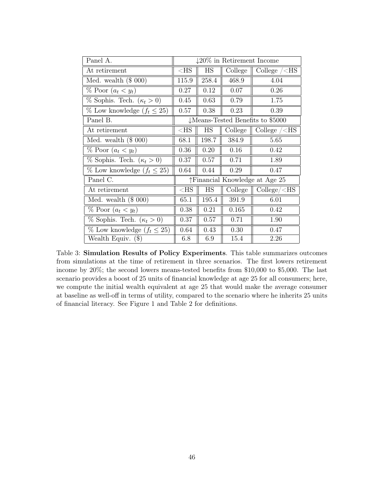| Panel A.                            | $\downarrow$ 20% in Retirement Income        |           |         |                                    |
|-------------------------------------|----------------------------------------------|-----------|---------|------------------------------------|
| At retirement                       | $<$ HS                                       | HS        | College | College $\angle$ HS                |
| Med. wealth $(\$ 000)$              | 115.9                                        | 258.4     | 468.9   | 4.04                               |
| $\%$ Poor $(a_t \lt y_t)$           | 0.27                                         | 0.12      | 0.07    | 0.26                               |
| % Sophis. Tech. $(\kappa_t > 0)$    | 0.45                                         | 0.63      | 0.79    | 1.75                               |
| % Low knowledge $(f_t \leq 25)$     | 0.57                                         | 0.38      | 0.23    | 0.39                               |
| Panel B.                            | $\downarrow$ Means-Tested Benefits to \$5000 |           |         |                                    |
| At retirement                       | ${ <\hspace{-1.5pt}{\rm HS}\hspace{-1.5pt}}$ | HS        | College | College $\angle$ HS                |
| Med. wealth $(\$ 000)$              | 68.1                                         | 198.7     | 384.9   | 5.65                               |
| $\%$ Poor $(a_t \lt y_t)$           | 0.36                                         | 0.20      | 0.16    | 0.42                               |
| $\%$ Sophis. Tech. $(\kappa_t > 0)$ | 0.37                                         | 0.57      | 0.71    | 1.89                               |
| % Low knowledge $(f_t \leq 25)$     | 0.64                                         | 0.44      | 0.29    | 0.47                               |
| Panel C.                            | ↑Financial Knowledge at Age 25               |           |         |                                    |
| At retirement                       | $<$ HS                                       | <b>HS</b> | College | $\text{College}/\text{<}\text{HS}$ |
| Med. wealth $(\$ 000)$              | 65.1                                         | 195.4     | 391.9   | 6.01                               |
| $\%$ Poor $(a_t \lt y_t)$           | 0.38                                         | 0.21      | 0.165   | 0.42                               |
| $\%$ Sophis. Tech. $(\kappa_t > 0)$ | 0.37                                         | 0.57      | 0.71    | 1.90                               |
| % Low knowledge $(f_t \leq 25)$     | 0.64                                         | 0.43      | 0.30    | 0.47                               |
| Wealth Equiv. (\$)                  | 6.8                                          | 6.9       | 15.4    | 2.26                               |

Table 3: Simulation Results of Policy Experiments. This table summarizes outcomes from simulations at the time of retirement in three scenarios. The first lowers retirement income by 20%; the second lowers means-tested benefits from \$10,000 to \$5,000. The last scenario provides a boost of 25 units of financial knowledge at age 25 for all consumers; here, we compute the initial wealth equivalent at age 25 that would make the average consumer at baseline as well-off in terms of utility, compared to the scenario where he inherits 25 units of financial literacy. See Figure 1 and Table 2 for definitions.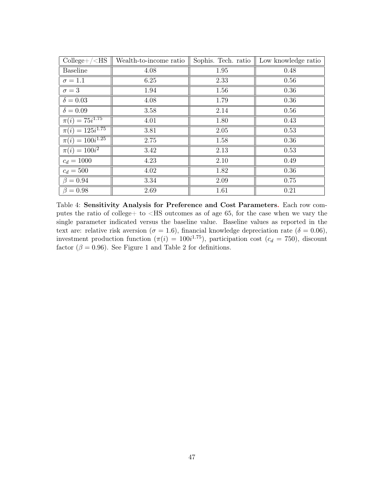| $\text{College} + \times \text{HS}$ | Wealth-to-income ratio | Sophis. Tech. ratio | Low knowledge ratio |
|-------------------------------------|------------------------|---------------------|---------------------|
| <b>Baseline</b>                     | 4.08                   | 1.95                | 0.48                |
| $\sigma = 1.1$                      | 6.25                   | 2.33                | 0.56                |
| $\sigma=3$                          | 1.94                   | 1.56                | 0.36                |
| $\delta = 0.03$                     | 4.08                   | 1.79                | 0.36                |
| $\delta = 0.09$                     | 3.58                   | 2.14                | 0.56                |
| $\pi(i) = 75i^{1.75}$               | 4.01                   | 1.80                | 0.43                |
| $\pi(i) = 125i^{1.75}$              | 3.81                   | 2.05                | 0.53                |
| $\pi(i) = 100i^{1.25}$              | 2.75                   | 1.58                | 0.36                |
| $\pi(i) = 100i^2$                   | 3.42                   | 2.13                | 0.53                |
| $c_d = 1000$                        | 4.23                   | 2.10                | 0.49                |
| $c_d = 500$                         | 4.02                   | 1.82                | 0.36                |
| $\beta = 0.94$                      | 3.34                   | 2.09                | 0.75                |
| $\beta = 0.98$                      | 2.69                   | 1.61                | 0.21                |

Table 4: Sensitivity Analysis for Preference and Cost Parameters. Each row computes the ratio of college+ to <HS outcomes as of age 65, for the case when we vary the single parameter indicated versus the baseline value. Baseline values as reported in the text are: relative risk aversion ( $\sigma = 1.6$ ), financial knowledge depreciation rate ( $\delta = 0.06$ ), investment production function  $(\pi(i) = 100i^{1.75})$ , participation cost  $(c_d = 750)$ , discount factor ( $\beta = 0.96$ ). See Figure 1 and Table 2 for definitions.